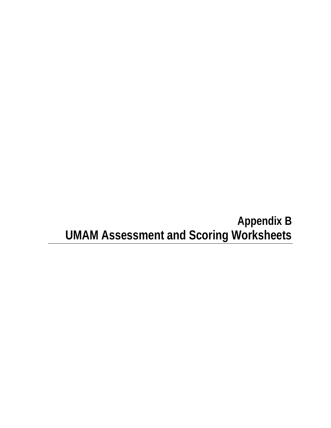# **Appendix B UMAM Assessment and Scoring Worksheets**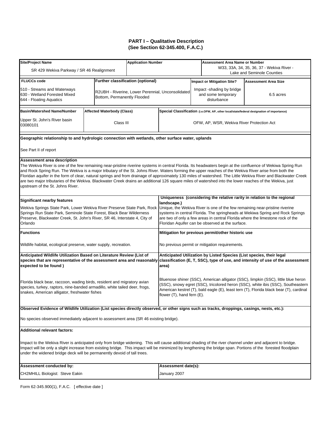| <b>Site/Project Name</b>                                                                                                                                                                                                                                                                                                                                                                                                                                                                                                                                                                                                                                                                                                    |                             |                                                   | <b>Application Number</b>                                                                                                                                        |  | <b>Assessment Area Name or Number</b><br>W33, 33A, 34, 35, 36, 37 - Wekiva River - |                                                                                                                                                                                                                                                                 |  |
|-----------------------------------------------------------------------------------------------------------------------------------------------------------------------------------------------------------------------------------------------------------------------------------------------------------------------------------------------------------------------------------------------------------------------------------------------------------------------------------------------------------------------------------------------------------------------------------------------------------------------------------------------------------------------------------------------------------------------------|-----------------------------|---------------------------------------------------|------------------------------------------------------------------------------------------------------------------------------------------------------------------|--|------------------------------------------------------------------------------------|-----------------------------------------------------------------------------------------------------------------------------------------------------------------------------------------------------------------------------------------------------------------|--|
| SR 429 Wekiva Parkway / SR 46 Realignment                                                                                                                                                                                                                                                                                                                                                                                                                                                                                                                                                                                                                                                                                   |                             |                                                   |                                                                                                                                                                  |  |                                                                                    | Lake and Seminole Counties                                                                                                                                                                                                                                      |  |
| <b>FLUCCs code</b>                                                                                                                                                                                                                                                                                                                                                                                                                                                                                                                                                                                                                                                                                                          |                             | <b>Further classification (optional)</b>          |                                                                                                                                                                  |  | <b>Impact or Mitigation Site?</b>                                                  | <b>Assessment Area Size</b>                                                                                                                                                                                                                                     |  |
| 510 - Streams and Waterways<br>630 - Wetland Forested Mixed<br>644 - Floating Aquatics                                                                                                                                                                                                                                                                                                                                                                                                                                                                                                                                                                                                                                      | Bottom, Permanently Flooded | R2UBH - Riverine, Lower Perennial, Unconsolidated |                                                                                                                                                                  |  | Impact -shading by bridge<br>and some temporary<br>disturbance                     | 6.5 acres                                                                                                                                                                                                                                                       |  |
| <b>Basin/Watershed Name/Number</b>                                                                                                                                                                                                                                                                                                                                                                                                                                                                                                                                                                                                                                                                                          | Affected Waterbody (Class)  |                                                   |                                                                                                                                                                  |  |                                                                                    | Special Classification (i.e.OFW, AP, other local/state/federal designation of importance)                                                                                                                                                                       |  |
| Upper St. John's River basin<br>03080101                                                                                                                                                                                                                                                                                                                                                                                                                                                                                                                                                                                                                                                                                    | Class III                   |                                                   |                                                                                                                                                                  |  | OFW, AP, WSR, Wekiva River Protection Act                                          |                                                                                                                                                                                                                                                                 |  |
| Geographic relationship to and hydrologic connection with wetlands, other surface water, uplands                                                                                                                                                                                                                                                                                                                                                                                                                                                                                                                                                                                                                            |                             |                                                   |                                                                                                                                                                  |  |                                                                                    |                                                                                                                                                                                                                                                                 |  |
| See Part II of report                                                                                                                                                                                                                                                                                                                                                                                                                                                                                                                                                                                                                                                                                                       |                             |                                                   |                                                                                                                                                                  |  |                                                                                    |                                                                                                                                                                                                                                                                 |  |
| <b>Assessment area description</b><br>The Wekiva River is one of the few remaining near-pristine riverine systems in central Florida. Its headwaters begin at the confluence of Wekiwa Spring Run<br>and Rock Spring Run. The Wekiva is a major tributary of the St. Johns River. Waters forming the upper reaches of the Wekiva River arise from both the<br>Floridan aquifer in the form of clear, natural springs and from drainage of approximately 130 miles of watershed. The Little Wekiva River and Blackwater Creek<br>are two major tributaries of the Wekiva. Blackwater Creek drains an additional 126 square miles of watershed into the lower reaches of the Wekiva, just<br>upstream of the St. Johns River. |                             |                                                   |                                                                                                                                                                  |  |                                                                                    |                                                                                                                                                                                                                                                                 |  |
| <b>Significant nearby features</b>                                                                                                                                                                                                                                                                                                                                                                                                                                                                                                                                                                                                                                                                                          |                             |                                                   | landscape.)                                                                                                                                                      |  |                                                                                    | Uniqueness (considering the relative rarity in relation to the regional                                                                                                                                                                                         |  |
| Wekiva Springs State Park, Lower Wekiva River Preserve State Park, Rock<br>Springs Run State Park, Seminole State Forest, Black Bear Wilderness<br>Preserve, Blackwater Creek, St. John's River, SR 46, Interstate 4, City of<br>Orlando                                                                                                                                                                                                                                                                                                                                                                                                                                                                                    |                             |                                                   |                                                                                                                                                                  |  | Floridan Aquifer can be observed at the surface.                                   | Unique, the Wekiva River is one of the few remaining near-pristine riverine<br>systems in central Florida. The springheads at Wekiwa Spring and Rock Springs<br>are two of only a few areas in central Florida where the limestone rock of the                  |  |
| <b>Functions</b>                                                                                                                                                                                                                                                                                                                                                                                                                                                                                                                                                                                                                                                                                                            |                             |                                                   |                                                                                                                                                                  |  | Mitigation for previous permit/other historic use                                  |                                                                                                                                                                                                                                                                 |  |
| Wildlife habitat, ecological preserve, water supply, recreation.                                                                                                                                                                                                                                                                                                                                                                                                                                                                                                                                                                                                                                                            |                             |                                                   | No previous permit or mitigation requirements.                                                                                                                   |  |                                                                                    |                                                                                                                                                                                                                                                                 |  |
| Anticipated Wildlife Utilization Based on Literature Review (List of<br>species that are representative of the assessment area and reasonably<br>expected to be found)                                                                                                                                                                                                                                                                                                                                                                                                                                                                                                                                                      |                             |                                                   | Anticipated Utilization by Listed Species (List species, their legal<br>classification (E, T, SSC), type of use, and intensity of use of the assessment<br>area) |  |                                                                                    |                                                                                                                                                                                                                                                                 |  |
| Florida black bear, raccoon, wading birds, resident and migratory avian<br>species, turkey, raptors, nine-banded armadillo, white tailed deer, frogs,<br>snakes, American alligator, freshwater fishes                                                                                                                                                                                                                                                                                                                                                                                                                                                                                                                      |                             |                                                   | flower (T), hand fern (E).                                                                                                                                       |  |                                                                                    | Bluenose shiner (SSC), American alligator (SSC), limpkin (SSC), little blue heron<br>(SSC), snowy egret (SSC), tricolored heron (SSC), white ibis (SSC), Southeastern<br>American kestrel (T), bald eagle (E), least tern (T), Florida black bear (T), cardinal |  |
| Observed Evidence of Wildlife Utilization (List species directly observed, or other signs such as tracks, droppings, casings, nests, etc.):                                                                                                                                                                                                                                                                                                                                                                                                                                                                                                                                                                                 |                             |                                                   |                                                                                                                                                                  |  |                                                                                    |                                                                                                                                                                                                                                                                 |  |
| No species observed immediately adjacent to assessment area (SR 46 existing bridge).                                                                                                                                                                                                                                                                                                                                                                                                                                                                                                                                                                                                                                        |                             |                                                   |                                                                                                                                                                  |  |                                                                                    |                                                                                                                                                                                                                                                                 |  |
| <b>Additional relevant factors:</b>                                                                                                                                                                                                                                                                                                                                                                                                                                                                                                                                                                                                                                                                                         |                             |                                                   |                                                                                                                                                                  |  |                                                                                    |                                                                                                                                                                                                                                                                 |  |
| Impact to the Wekiva River is anticipated only from bridge widening. This will cause additional shading of the river channel under and adjacent to bridge.<br>Impact will be only a slight increase from existing bridge. This impact will be minimized by lengthening the bridge span. Portions of the forested floodplain<br>under the widened bridge deck will be permanently devoid of tall trees.                                                                                                                                                                                                                                                                                                                      |                             |                                                   |                                                                                                                                                                  |  |                                                                                    |                                                                                                                                                                                                                                                                 |  |
| Assessment conducted by:                                                                                                                                                                                                                                                                                                                                                                                                                                                                                                                                                                                                                                                                                                    |                             |                                                   | Assessment date(s):                                                                                                                                              |  |                                                                                    |                                                                                                                                                                                                                                                                 |  |
| CH2MHILL Biologist: Steve Eakin                                                                                                                                                                                                                                                                                                                                                                                                                                                                                                                                                                                                                                                                                             |                             |                                                   | January 2007                                                                                                                                                     |  |                                                                                    |                                                                                                                                                                                                                                                                 |  |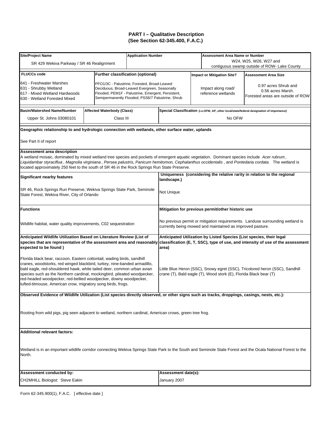| <b>Site/Project Name</b>                                                                                                                                                                                                                             |  |                                   | <b>Application Number</b>                          |                     |  | <b>Assessment Area Name or Number</b>                             |                                                                                           |  |  |
|------------------------------------------------------------------------------------------------------------------------------------------------------------------------------------------------------------------------------------------------------|--|-----------------------------------|----------------------------------------------------|---------------------|--|-------------------------------------------------------------------|-------------------------------------------------------------------------------------------|--|--|
| SR 429 Wekiva Parkway / SR 46 Realignment                                                                                                                                                                                                            |  |                                   |                                                    |                     |  |                                                                   | W24, W25, W26, W27 and<br>contiguous swamp outside of ROW- Lake County                    |  |  |
|                                                                                                                                                                                                                                                      |  |                                   |                                                    |                     |  |                                                                   |                                                                                           |  |  |
| <b>FLUCCs code</b>                                                                                                                                                                                                                                   |  |                                   | <b>Further classification (optional)</b>           |                     |  | <b>Impact or Mitigation Site?</b>                                 | <b>Assessment Area Size</b>                                                               |  |  |
| 641 - Freshwater Marshes                                                                                                                                                                                                                             |  |                                   | PFO1/3C - Palustrine, Forested, Broad-Leaved       |                     |  |                                                                   | 0.97 acres Shrub and                                                                      |  |  |
| 631 - Shrubby Wetland                                                                                                                                                                                                                                |  |                                   | Deciduous, Broad-Leaved Evergreen, Seasonally      |                     |  | Impact along road/                                                | 0.56 acres Marsh.                                                                         |  |  |
| 617 - Mixed Wetland Hardwoods                                                                                                                                                                                                                        |  |                                   | Flooded; PEM1F - Palustrine, Emergent, Persistent, |                     |  | reference wetlands                                                | Forested areas are outside of ROW                                                         |  |  |
| 630 - Wetland Forested Mixed                                                                                                                                                                                                                         |  |                                   | Semipermanently Flooded; PSS6/7 Palustrine, Shrub  |                     |  |                                                                   |                                                                                           |  |  |
| <b>Basin/Watershed Name/Number</b>                                                                                                                                                                                                                   |  | <b>Affected Waterbody (Class)</b> |                                                    |                     |  |                                                                   | Special Classification (i.e.OFW, AP, other local/state/federal designation of importance) |  |  |
| Upper St. Johns 03080101                                                                                                                                                                                                                             |  | Class III                         |                                                    |                     |  | No OFW                                                            |                                                                                           |  |  |
|                                                                                                                                                                                                                                                      |  |                                   |                                                    |                     |  |                                                                   |                                                                                           |  |  |
| Geographic relationship to and hydrologic connection with wetlands, other surface water, uplands                                                                                                                                                     |  |                                   |                                                    |                     |  |                                                                   |                                                                                           |  |  |
| See Part II of report                                                                                                                                                                                                                                |  |                                   |                                                    |                     |  |                                                                   |                                                                                           |  |  |
| Assessment area description                                                                                                                                                                                                                          |  |                                   |                                                    |                     |  |                                                                   |                                                                                           |  |  |
| A wetland mosaic, dominated by mixed wetland tree species and pockets of emergent aquatic vegetation. Dominant species include Acer rubrum,                                                                                                          |  |                                   |                                                    |                     |  |                                                                   |                                                                                           |  |  |
| Liquidambar styraciflua, Magnolia virginiana, Persea palustris, Panicum hemitomon, Cephalanthus occidentalis, and Pontedaria cordata. The wetland is<br>located approximately 250 feet to the south of SR 46 in the Rock Springs Run State Preserve. |  |                                   |                                                    |                     |  |                                                                   |                                                                                           |  |  |
|                                                                                                                                                                                                                                                      |  |                                   |                                                    |                     |  |                                                                   | Uniqueness (considering the relative rarity in relation to the regional                   |  |  |
| <b>Significant nearby features</b>                                                                                                                                                                                                                   |  |                                   |                                                    | landscape.)         |  |                                                                   |                                                                                           |  |  |
|                                                                                                                                                                                                                                                      |  |                                   |                                                    |                     |  |                                                                   |                                                                                           |  |  |
| SR 46, Rock Springs Run Preserve, Wekiva Springs State Park, Seminole                                                                                                                                                                                |  |                                   |                                                    | Not Unique          |  |                                                                   |                                                                                           |  |  |
| State Forest, Wekiva River, City of Orlando                                                                                                                                                                                                          |  |                                   |                                                    |                     |  |                                                                   |                                                                                           |  |  |
|                                                                                                                                                                                                                                                      |  |                                   |                                                    |                     |  |                                                                   |                                                                                           |  |  |
| <b>Functions</b>                                                                                                                                                                                                                                     |  |                                   |                                                    |                     |  | Mitigation for previous permit/other historic use                 |                                                                                           |  |  |
|                                                                                                                                                                                                                                                      |  |                                   |                                                    |                     |  |                                                                   | No previous permit or mitigation requirements. Landuse surrounding wetland is             |  |  |
| Wildlife habitat, water quality improvements, C02 sequestration                                                                                                                                                                                      |  |                                   |                                                    |                     |  | currently being mowed and maintained as improved pasture.         |                                                                                           |  |  |
| Anticipated Wildlife Utilization Based on Literature Review (List of                                                                                                                                                                                 |  |                                   |                                                    |                     |  |                                                                   | Anticipated Utilization by Listed Species (List species, their legal                      |  |  |
| species that are representative of the assessment area and reasonably                                                                                                                                                                                |  |                                   |                                                    |                     |  |                                                                   | classification (E, T, SSC), type of use, and intensity of use of the assessment           |  |  |
| expected to be found)                                                                                                                                                                                                                                |  |                                   |                                                    | area)               |  |                                                                   |                                                                                           |  |  |
|                                                                                                                                                                                                                                                      |  |                                   |                                                    |                     |  |                                                                   |                                                                                           |  |  |
| Florida black bear, raccoon, Eastern cottontail, wading birds, sandhill                                                                                                                                                                              |  |                                   |                                                    |                     |  |                                                                   |                                                                                           |  |  |
| cranes, woodstorks, red winged blackbird, turkey, nine-banded armadillo,                                                                                                                                                                             |  |                                   |                                                    |                     |  |                                                                   |                                                                                           |  |  |
| bald eagle, red-shouldered hawk, white tailed deer, common urban avian                                                                                                                                                                               |  |                                   |                                                    |                     |  | crane (T), Bald eagle (T), Wood stork (E), Florida Black bear (T) | Little Blue Heron (SSC), Snowy egret (SSC), Tricolored heron (SSC), Sandhill              |  |  |
| species such as the Northern cardinal, mockingbird, pileated woodpecker,<br>red-headed woodpecker, red-bellied woodpecker, downy woodpecker,                                                                                                         |  |                                   |                                                    |                     |  |                                                                   |                                                                                           |  |  |
| tufted-titmouse, American crow, migratory song birds, frogs.                                                                                                                                                                                         |  |                                   |                                                    |                     |  |                                                                   |                                                                                           |  |  |
|                                                                                                                                                                                                                                                      |  |                                   |                                                    |                     |  |                                                                   |                                                                                           |  |  |
| Observed Evidence of Wildlife Utilization (List species directly observed, or other signs such as tracks, droppings, casings, nests, etc.):                                                                                                          |  |                                   |                                                    |                     |  |                                                                   |                                                                                           |  |  |
|                                                                                                                                                                                                                                                      |  |                                   |                                                    |                     |  |                                                                   |                                                                                           |  |  |
| Rooting from wild pigs, pig seen adjacent to wetland, northern cardinal, American crows, green tree frog.                                                                                                                                            |  |                                   |                                                    |                     |  |                                                                   |                                                                                           |  |  |
|                                                                                                                                                                                                                                                      |  |                                   |                                                    |                     |  |                                                                   |                                                                                           |  |  |
|                                                                                                                                                                                                                                                      |  |                                   |                                                    |                     |  |                                                                   |                                                                                           |  |  |
| <b>Additional relevant factors:</b>                                                                                                                                                                                                                  |  |                                   |                                                    |                     |  |                                                                   |                                                                                           |  |  |
|                                                                                                                                                                                                                                                      |  |                                   |                                                    |                     |  |                                                                   |                                                                                           |  |  |
|                                                                                                                                                                                                                                                      |  |                                   |                                                    |                     |  |                                                                   |                                                                                           |  |  |
| Wetland is in an important wildlife corridor connecting Wekiva Springs State Park to the South and Seminole State Forest and the Ocala National Forest to the                                                                                        |  |                                   |                                                    |                     |  |                                                                   |                                                                                           |  |  |
| North.                                                                                                                                                                                                                                               |  |                                   |                                                    |                     |  |                                                                   |                                                                                           |  |  |
|                                                                                                                                                                                                                                                      |  |                                   |                                                    |                     |  |                                                                   |                                                                                           |  |  |
| Assessment conducted by:                                                                                                                                                                                                                             |  |                                   |                                                    | Assessment date(s): |  |                                                                   |                                                                                           |  |  |
| CH2MHILL Biologist: Steve Eakin                                                                                                                                                                                                                      |  |                                   |                                                    | January 2007        |  |                                                                   |                                                                                           |  |  |
|                                                                                                                                                                                                                                                      |  |                                   |                                                    |                     |  |                                                                   |                                                                                           |  |  |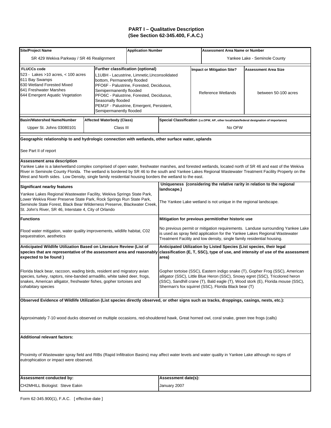| <b>Site/Project Name</b>                                                                                                                                                                                                                                                                        |                                                                                                                                                                                                                                                                                                                                          | <b>Application Number</b> |                                                                                                                                                                                                                                                                                                          | <b>Assessment Area Name or Number</b>                                                     |                                                                                                                                                         |  |  |  |
|-------------------------------------------------------------------------------------------------------------------------------------------------------------------------------------------------------------------------------------------------------------------------------------------------|------------------------------------------------------------------------------------------------------------------------------------------------------------------------------------------------------------------------------------------------------------------------------------------------------------------------------------------|---------------------------|----------------------------------------------------------------------------------------------------------------------------------------------------------------------------------------------------------------------------------------------------------------------------------------------------------|-------------------------------------------------------------------------------------------|---------------------------------------------------------------------------------------------------------------------------------------------------------|--|--|--|
| SR 429 Wekiva Parkway / SR 46 Realignment                                                                                                                                                                                                                                                       |                                                                                                                                                                                                                                                                                                                                          |                           |                                                                                                                                                                                                                                                                                                          |                                                                                           | Yankee Lake - Seminole County                                                                                                                           |  |  |  |
| <b>FLUCCs code</b><br>523 - Lakes >10 acres, $<$ 100 acres<br>611 Bay Swamps<br>630 Wetland Forested Mixed<br>641 Freshwater Marshes<br>644 Emergent Aquatic Vegetation                                                                                                                         | <b>Further classification (optional)</b><br>L1UBH - Lacustrine, Limnetic, Unconsolidated<br>bottom, Permanently flooded<br>PFO6F - Palustrine, Forested, Deciduous,<br>Semipermanently flooded<br>PFO6C - Palustrine, Forested, Deciduous,<br>Seasonally flooded<br>PEM1F - Palustrine, Emergent, Persistent,<br>Semipermanently flooded |                           |                                                                                                                                                                                                                                                                                                          | <b>Impact or Mitigation Site?</b><br>Reference Wetlands                                   | <b>Assessment Area Size</b><br>between 50-100 acres                                                                                                     |  |  |  |
| <b>Basin/Watershed Name/Number</b>                                                                                                                                                                                                                                                              | Affected Waterbody (Class)                                                                                                                                                                                                                                                                                                               |                           |                                                                                                                                                                                                                                                                                                          | Special Classification (i.e.OFW, AP, other local/state/federal designation of importance) |                                                                                                                                                         |  |  |  |
| Upper St. Johns 03080101                                                                                                                                                                                                                                                                        | Class III                                                                                                                                                                                                                                                                                                                                |                           |                                                                                                                                                                                                                                                                                                          | No OFW                                                                                    |                                                                                                                                                         |  |  |  |
| Geographic relationship to and hydrologic connection with wetlands, other surface water, uplands                                                                                                                                                                                                |                                                                                                                                                                                                                                                                                                                                          |                           |                                                                                                                                                                                                                                                                                                          |                                                                                           |                                                                                                                                                         |  |  |  |
| See Part II of report                                                                                                                                                                                                                                                                           |                                                                                                                                                                                                                                                                                                                                          |                           |                                                                                                                                                                                                                                                                                                          |                                                                                           |                                                                                                                                                         |  |  |  |
| Assessment area description<br>Yankee Lake is a lake/wetland complex comprised of open water, freshwater marshes, and forested wetlands, located north of SR 46 and east of the Wekiva<br>West and North sides. Low Density, single family residential housing borders the wetland to the east. |                                                                                                                                                                                                                                                                                                                                          |                           |                                                                                                                                                                                                                                                                                                          |                                                                                           | River in Seminole County Florida. The wetland is bordered by SR 46 to the south and Yankee Lakes Regional Wastewater Treatment Facility Property on the |  |  |  |
| Significant nearby features                                                                                                                                                                                                                                                                     |                                                                                                                                                                                                                                                                                                                                          |                           | landscape.)                                                                                                                                                                                                                                                                                              |                                                                                           | Uniqueness (considering the relative rarity in relation to the regional                                                                                 |  |  |  |
| Yankee Lakes Regional Wastewater Facility, Wekiva Springs State Park,<br>Lower Wekiva River Preserve State Park, Rock Springs Run State Park,<br>Seminole State Forest, Black Bear Wilderness Preserve, Blackwater Creek,<br>St. John's River, SR 46, Interstate 4, City of Orlando             |                                                                                                                                                                                                                                                                                                                                          |                           |                                                                                                                                                                                                                                                                                                          | The Yankee Lake wetland is not unique in the regional landscape.                          |                                                                                                                                                         |  |  |  |
| <b>Functions</b>                                                                                                                                                                                                                                                                                |                                                                                                                                                                                                                                                                                                                                          |                           |                                                                                                                                                                                                                                                                                                          | Mitigation for previous permit/other historic use                                         |                                                                                                                                                         |  |  |  |
| Flood water mitigation, water quality improvements, wildlife habitat, C02<br>sequestration, aesthetics                                                                                                                                                                                          |                                                                                                                                                                                                                                                                                                                                          |                           | No previous permit or mitigation requirements. Landuse surrounding Yankee Lake<br>is used as spray field application for the Yankee Lakes Regional Wastewater<br>Treatment Facility and low density, single family residential housing.                                                                  |                                                                                           |                                                                                                                                                         |  |  |  |
| Anticipated Wildlife Utilization Based on Literature Review (List of<br>species that are representative of the assessment area and reasonably<br>expected to be found)                                                                                                                          |                                                                                                                                                                                                                                                                                                                                          |                           | Anticipated Utilization by Listed Species (List species, their legal<br>classification (E, T, SSC), type of use, and intensity of use of the assessment<br>area)                                                                                                                                         |                                                                                           |                                                                                                                                                         |  |  |  |
| Florida black bear, raccoon, wading birds, resident and migratory avian<br>species, turkey, raptors, nine-banded armadillo, white tailed deer, frogs,<br>snakes, American alligator, freshwater fishes, gopher tortoises and<br>cohabitary species                                              |                                                                                                                                                                                                                                                                                                                                          |                           | Gopher tortoise (SSC), Eastern indigo snake (T), Gopher Frog (SSC), American<br>alligator (SSC), Little Blue Heron (SSC), Snowy egret (SSC), Tricolored heron<br>(SSC), Sandhill crane (T), Bald eagle (T), Wood stork (E), Florida mouse (SSC),<br>Sherman's fox squirrel (SSC), Florida Black bear (T) |                                                                                           |                                                                                                                                                         |  |  |  |
| Observed Evidence of Wildlife Utilization (List species directly observed, or other signs such as tracks, droppings, casings, nests, etc.):                                                                                                                                                     |                                                                                                                                                                                                                                                                                                                                          |                           |                                                                                                                                                                                                                                                                                                          |                                                                                           |                                                                                                                                                         |  |  |  |
| Approximately 7-10 wood ducks observed on multiple occasions, red-shouldered hawk, Great horned owl, coral snake, green tree frogs (calls)                                                                                                                                                      |                                                                                                                                                                                                                                                                                                                                          |                           |                                                                                                                                                                                                                                                                                                          |                                                                                           |                                                                                                                                                         |  |  |  |
| <b>Additional relevant factors:</b>                                                                                                                                                                                                                                                             |                                                                                                                                                                                                                                                                                                                                          |                           |                                                                                                                                                                                                                                                                                                          |                                                                                           |                                                                                                                                                         |  |  |  |
| Proximity of Wastewater spray field and RIBs (Rapid Infiltration Basins) may affect water levels and water quality in Yankee Lake although no signs of<br>eutrophication or impact were observed.                                                                                               |                                                                                                                                                                                                                                                                                                                                          |                           |                                                                                                                                                                                                                                                                                                          |                                                                                           |                                                                                                                                                         |  |  |  |
| Assessment conducted by:                                                                                                                                                                                                                                                                        |                                                                                                                                                                                                                                                                                                                                          |                           | Assessment date(s):                                                                                                                                                                                                                                                                                      |                                                                                           |                                                                                                                                                         |  |  |  |
| CH2MHILL Biologist: Steve Eakin                                                                                                                                                                                                                                                                 |                                                                                                                                                                                                                                                                                                                                          |                           | January 2007                                                                                                                                                                                                                                                                                             |                                                                                           |                                                                                                                                                         |  |  |  |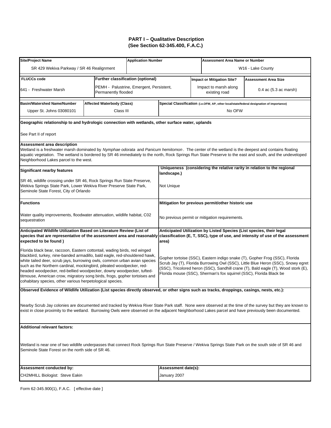| <b>Site/Project Name</b>                                                                                                                                                                                                                                                                                                                                                                                                                                                                                                         |                                   | <b>Application Number</b>                |                                                                                                                                                                                                                                                                                                                              | <b>Assessment Area Name or Number</b>                                                     |                                                                                                                                                           |  |  |
|----------------------------------------------------------------------------------------------------------------------------------------------------------------------------------------------------------------------------------------------------------------------------------------------------------------------------------------------------------------------------------------------------------------------------------------------------------------------------------------------------------------------------------|-----------------------------------|------------------------------------------|------------------------------------------------------------------------------------------------------------------------------------------------------------------------------------------------------------------------------------------------------------------------------------------------------------------------------|-------------------------------------------------------------------------------------------|-----------------------------------------------------------------------------------------------------------------------------------------------------------|--|--|
| SR 429 Wekiva Parkway / SR 46 Realignment                                                                                                                                                                                                                                                                                                                                                                                                                                                                                        |                                   |                                          |                                                                                                                                                                                                                                                                                                                              |                                                                                           | W <sub>16</sub> - Lake County                                                                                                                             |  |  |
| <b>FLUCCs code</b>                                                                                                                                                                                                                                                                                                                                                                                                                                                                                                               | Further classification (optional) |                                          |                                                                                                                                                                                                                                                                                                                              | <b>Impact or Mitigation Site?</b>                                                         | <b>Assessment Area Size</b>                                                                                                                               |  |  |
| 641 - Freshwater Marsh                                                                                                                                                                                                                                                                                                                                                                                                                                                                                                           | Permanently flooded               | PEMH - Palustrine, Emergent, Persistent, |                                                                                                                                                                                                                                                                                                                              | Impact to marsh along<br>existing road                                                    | 0.4 ac (5.3 ac marsh)                                                                                                                                     |  |  |
| <b>Basin/Watershed Name/Number</b>                                                                                                                                                                                                                                                                                                                                                                                                                                                                                               | Affected Waterbody (Class)        |                                          |                                                                                                                                                                                                                                                                                                                              | Special Classification (i.e.OFW, AP, other local/state/federal designation of importance) |                                                                                                                                                           |  |  |
| Upper St. Johns 03080101                                                                                                                                                                                                                                                                                                                                                                                                                                                                                                         | Class III                         |                                          |                                                                                                                                                                                                                                                                                                                              | No OFW                                                                                    |                                                                                                                                                           |  |  |
| Geographic relationship to and hydrologic connection with wetlands, other surface water, uplands                                                                                                                                                                                                                                                                                                                                                                                                                                 |                                   |                                          |                                                                                                                                                                                                                                                                                                                              |                                                                                           |                                                                                                                                                           |  |  |
| See Part II of report                                                                                                                                                                                                                                                                                                                                                                                                                                                                                                            |                                   |                                          |                                                                                                                                                                                                                                                                                                                              |                                                                                           |                                                                                                                                                           |  |  |
| <b>Assessment area description</b><br>Wetland is a freshwater marsh dominated by Nymphae odorata and Panicum hemitomon. The center of the wetland is the deepest and contains floating<br>Neighborhood Lakes parcel to the west.                                                                                                                                                                                                                                                                                                 |                                   |                                          |                                                                                                                                                                                                                                                                                                                              |                                                                                           | aquatic vegetation. The wetland is bordered by SR 46 immediately to the north, Rock Springs Run State Preserve to the east and south, and the undeveloped |  |  |
| <b>Significant nearby features</b>                                                                                                                                                                                                                                                                                                                                                                                                                                                                                               |                                   |                                          | landscape.)                                                                                                                                                                                                                                                                                                                  |                                                                                           | Uniqueness (considering the relative rarity in relation to the regional                                                                                   |  |  |
| SR 46, wildlife crossing under SR 46, Rock Springs Run State Preserve,<br>Wekiva Springs State Park, Lower Wekiva River Preserve State Park,<br>Seminole State Forest, City of Orlando                                                                                                                                                                                                                                                                                                                                           |                                   | Not Unique                               |                                                                                                                                                                                                                                                                                                                              |                                                                                           |                                                                                                                                                           |  |  |
| <b>Functions</b>                                                                                                                                                                                                                                                                                                                                                                                                                                                                                                                 |                                   |                                          |                                                                                                                                                                                                                                                                                                                              | Mitigation for previous permit/other historic use                                         |                                                                                                                                                           |  |  |
| Water quality improvements, floodwater attenuation, wildlife habitat, C02<br>sequestration                                                                                                                                                                                                                                                                                                                                                                                                                                       |                                   |                                          |                                                                                                                                                                                                                                                                                                                              | No previous permit or mitigation requirements.                                            |                                                                                                                                                           |  |  |
| Anticipated Wildlife Utilization Based on Literature Review (List of<br>expected to be found)                                                                                                                                                                                                                                                                                                                                                                                                                                    |                                   |                                          | area)                                                                                                                                                                                                                                                                                                                        | Anticipated Utilization by Listed Species (List species, their legal                      | species that are representative of the assessment area and reasonably classification (E, T, SSC), type of use, and intensity of use of the assessment     |  |  |
| Florida black bear, raccoon, Eastern cottontail, wading birds, red winged<br>blackbird, turkey, nine-banded armadillo, bald eagle, red-shouldered hawk,<br>white tailed deer, scrub jays, burrowing owls, common urban avian species<br>such as the Northern cardinal, mockingbird, pileated woodpecker, red-<br>headed woodpecker, red-bellied woodpecker, downy woodpecker, tufted-<br>titmouse, American crow, migratory song birds, frogs, gopher tortoises and<br>cohabitary species, other various herpetological species. |                                   |                                          | Gopher tortoise (SSC), Eastern indigo snake (T), Gopher Frog (SSC), Florida<br>Scrub Jay (T), Florida Burrowing Owl (SSC), Little Blue Heron (SSC), Snowy egret<br>(SSC), Tricolored heron (SSC), Sandhill crane (T), Bald eagle (T), Wood stork (E),<br>Florida mouse (SSC), Sherman's fox squirrel (SSC), Florida Black be |                                                                                           |                                                                                                                                                           |  |  |
| Observed Evidence of Wildlife Utilization (List species directly observed, or other signs such as tracks, droppings, casings, nests, etc.):                                                                                                                                                                                                                                                                                                                                                                                      |                                   |                                          |                                                                                                                                                                                                                                                                                                                              |                                                                                           |                                                                                                                                                           |  |  |
| exist in close proximity to the wetland. Burrowing Owls were observed on the adjacent Neighborhood Lakes parcel and have previously been documented.                                                                                                                                                                                                                                                                                                                                                                             |                                   |                                          |                                                                                                                                                                                                                                                                                                                              |                                                                                           | Nearby Scrub Jay colonies are documented and tracked by Wekiva River State Park staff. None were observed at the time of the survey but they are known to |  |  |
| <b>Additional relevant factors:</b>                                                                                                                                                                                                                                                                                                                                                                                                                                                                                              |                                   |                                          |                                                                                                                                                                                                                                                                                                                              |                                                                                           |                                                                                                                                                           |  |  |
| Wetland is near one of two wildlife underpasses that connect Rock Springs Run State Preserve / Wekiva Springs State Park on the south side of SR 46 and<br>Seminole State Forest on the north side of SR 46.                                                                                                                                                                                                                                                                                                                     |                                   |                                          |                                                                                                                                                                                                                                                                                                                              |                                                                                           |                                                                                                                                                           |  |  |
| Assessment conducted by:                                                                                                                                                                                                                                                                                                                                                                                                                                                                                                         |                                   |                                          | Assessment date(s):                                                                                                                                                                                                                                                                                                          |                                                                                           |                                                                                                                                                           |  |  |
| CH2MHILL Biologist: Steve Eakin                                                                                                                                                                                                                                                                                                                                                                                                                                                                                                  |                                   |                                          | January 2007                                                                                                                                                                                                                                                                                                                 |                                                                                           |                                                                                                                                                           |  |  |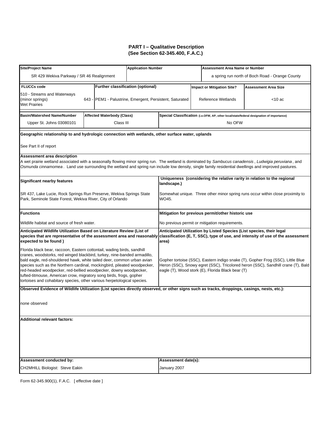| Site/Project Name                                                                                                                                                                                                                                                                                                                                                                                                                                                                                                               |  |                                                          | <b>Application Number</b>                                                               |                                                                                                                                                                                                                          |  | <b>Assessment Area Name or Number</b>                                |                                                                                           |  |
|---------------------------------------------------------------------------------------------------------------------------------------------------------------------------------------------------------------------------------------------------------------------------------------------------------------------------------------------------------------------------------------------------------------------------------------------------------------------------------------------------------------------------------|--|----------------------------------------------------------|-----------------------------------------------------------------------------------------|--------------------------------------------------------------------------------------------------------------------------------------------------------------------------------------------------------------------------|--|----------------------------------------------------------------------|-------------------------------------------------------------------------------------------|--|
| SR 429 Wekiva Parkway / SR 46 Realignment                                                                                                                                                                                                                                                                                                                                                                                                                                                                                       |  |                                                          |                                                                                         |                                                                                                                                                                                                                          |  |                                                                      | a spring run north of Boch Road - Orange County                                           |  |
| <b>FLUCCs code</b>                                                                                                                                                                                                                                                                                                                                                                                                                                                                                                              |  | <b>Further classification (optional)</b>                 |                                                                                         |                                                                                                                                                                                                                          |  | <b>Impact or Mitigation Site?</b>                                    | <b>Assessment Area Size</b>                                                               |  |
| 510 - Streams and Waterways<br>(minor springs)<br><b>Wet Prairies</b>                                                                                                                                                                                                                                                                                                                                                                                                                                                           |  | 643 - PEM1 - Palustrine, Emergent, Persistent, Saturated |                                                                                         |                                                                                                                                                                                                                          |  | Reference Wetlands                                                   | $<$ 10 ac                                                                                 |  |
| <b>Basin/Watershed Name/Number</b>                                                                                                                                                                                                                                                                                                                                                                                                                                                                                              |  | <b>Affected Waterbody (Class)</b>                        |                                                                                         |                                                                                                                                                                                                                          |  |                                                                      | Special Classification (i.e.OFW, AP, other local/state/federal designation of importance) |  |
| Upper St. Johns 03080101                                                                                                                                                                                                                                                                                                                                                                                                                                                                                                        |  | Class III                                                |                                                                                         |                                                                                                                                                                                                                          |  | No OFW                                                               |                                                                                           |  |
| Geographic relationship to and hydrologic connection with wetlands, other surface water, uplands                                                                                                                                                                                                                                                                                                                                                                                                                                |  |                                                          |                                                                                         |                                                                                                                                                                                                                          |  |                                                                      |                                                                                           |  |
| See Part II of report                                                                                                                                                                                                                                                                                                                                                                                                                                                                                                           |  |                                                          |                                                                                         |                                                                                                                                                                                                                          |  |                                                                      |                                                                                           |  |
| Assessment area description                                                                                                                                                                                                                                                                                                                                                                                                                                                                                                     |  |                                                          |                                                                                         |                                                                                                                                                                                                                          |  |                                                                      |                                                                                           |  |
| A wet prairie wetland associated with a seasonally flowing minor spring run. The wetland is dominated by Sambucus canadensis, Ludwigia peruviana, and<br>Osmunda cinnamomea. Land use surrounding the wetland and spring run include low density, single family residential dwellings and improved pastures.                                                                                                                                                                                                                    |  |                                                          |                                                                                         |                                                                                                                                                                                                                          |  |                                                                      |                                                                                           |  |
| <b>Significant nearby features</b>                                                                                                                                                                                                                                                                                                                                                                                                                                                                                              |  |                                                          |                                                                                         | landscape.)                                                                                                                                                                                                              |  |                                                                      | Uniqueness (considering the relative rarity in relation to the regional                   |  |
| SR 437, Lake Lucie, Rock Springs Run Preserve, Wekiva Springs State<br>Park, Seminole State Forest, Wekiva River, City of Orlando                                                                                                                                                                                                                                                                                                                                                                                               |  |                                                          | Somewhat unique. Three other minor spring runs occur within close proximity to<br>WO45. |                                                                                                                                                                                                                          |  |                                                                      |                                                                                           |  |
| <b>Functions</b>                                                                                                                                                                                                                                                                                                                                                                                                                                                                                                                |  |                                                          |                                                                                         |                                                                                                                                                                                                                          |  | Mitigation for previous permit/other historic use                    |                                                                                           |  |
| Wildlife habitat and source of fresh water.                                                                                                                                                                                                                                                                                                                                                                                                                                                                                     |  |                                                          |                                                                                         |                                                                                                                                                                                                                          |  | No previous permit or mitigation requirements.                       |                                                                                           |  |
| Anticipated Wildlife Utilization Based on Literature Review (List of                                                                                                                                                                                                                                                                                                                                                                                                                                                            |  |                                                          |                                                                                         |                                                                                                                                                                                                                          |  | Anticipated Utilization by Listed Species (List species, their legal |                                                                                           |  |
| species that are representative of the assessment area and reasonably<br>expected to be found)                                                                                                                                                                                                                                                                                                                                                                                                                                  |  |                                                          |                                                                                         | classification (E, T, SSC), type of use, and intensity of use of the assessment<br>area)                                                                                                                                 |  |                                                                      |                                                                                           |  |
| Florida black bear, raccoon, Eastern cottontail, wading birds, sandhill<br>cranes, woodstorks, red winged blackbird, turkey, nine-banded armadillo,<br>bald eagle, red-shouldered hawk, white tailed deer, common urban avian<br>species such as the Northern cardinal, mockingbird, pileated woodpecker,<br>red-headed woodpecker, red-bellied woodpecker, downy woodpecker,<br>tufted-titmouse, American crow, migratory song birds, frogs, gopher<br>tortoises and cohabitary species, other various herpetological species. |  |                                                          |                                                                                         | Gopher tortoise (SSC), Eastern indigo snake (T), Gopher Frog (SSC), Little Blue<br>Heron (SSC), Snowy egret (SSC), Tricolored heron (SSC), Sandhill crane (T), Bald<br>eagle (T), Wood stork (E), Florida Black bear (T) |  |                                                                      |                                                                                           |  |
| Observed Evidence of Wildlife Utilization (List species directly observed, or other signs such as tracks, droppings, casings, nests, etc.):                                                                                                                                                                                                                                                                                                                                                                                     |  |                                                          |                                                                                         |                                                                                                                                                                                                                          |  |                                                                      |                                                                                           |  |
| none observed                                                                                                                                                                                                                                                                                                                                                                                                                                                                                                                   |  |                                                          |                                                                                         |                                                                                                                                                                                                                          |  |                                                                      |                                                                                           |  |
| <b>Additional relevant factors:</b>                                                                                                                                                                                                                                                                                                                                                                                                                                                                                             |  |                                                          |                                                                                         |                                                                                                                                                                                                                          |  |                                                                      |                                                                                           |  |
|                                                                                                                                                                                                                                                                                                                                                                                                                                                                                                                                 |  |                                                          |                                                                                         |                                                                                                                                                                                                                          |  |                                                                      |                                                                                           |  |
| Assessment conducted by:                                                                                                                                                                                                                                                                                                                                                                                                                                                                                                        |  |                                                          |                                                                                         | Assessment date(s):                                                                                                                                                                                                      |  |                                                                      |                                                                                           |  |
| CH2MHILL Biologist: Steve Eakin                                                                                                                                                                                                                                                                                                                                                                                                                                                                                                 |  |                                                          |                                                                                         | January 2007                                                                                                                                                                                                             |  |                                                                      |                                                                                           |  |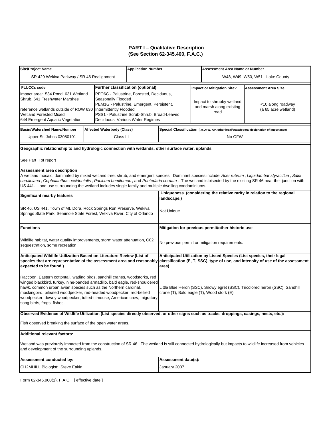| <b>Site/Project Name</b>                                                                                                                                                                                                                                                                                                                                                                                                                              |  |                                          | <b>Application Number</b> |                                                                                                                                                                                                                                        |  | <b>Assessment Area Name or Number</b>             |                                                                                           |  |
|-------------------------------------------------------------------------------------------------------------------------------------------------------------------------------------------------------------------------------------------------------------------------------------------------------------------------------------------------------------------------------------------------------------------------------------------------------|--|------------------------------------------|---------------------------|----------------------------------------------------------------------------------------------------------------------------------------------------------------------------------------------------------------------------------------|--|---------------------------------------------------|-------------------------------------------------------------------------------------------|--|
| SR 429 Wekiva Parkway / SR 46 Realignment                                                                                                                                                                                                                                                                                                                                                                                                             |  |                                          |                           |                                                                                                                                                                                                                                        |  |                                                   | W48, W49, W50, W51 - Lake County                                                          |  |
| <b>FLUCCs code</b>                                                                                                                                                                                                                                                                                                                                                                                                                                    |  | <b>Further classification (optional)</b> |                           |                                                                                                                                                                                                                                        |  | <b>Impact or Mitigation Site?</b>                 | <b>Assessment Area Size</b>                                                               |  |
| PFO6C - Palustrine, Forested, Deciduous,<br>impact area: 534 Pond, 631 Wetland<br>Shrub, 641 Freshwater Marshes<br>Seasonally Flooded<br>PEM1G - Palustrine, Emergent, Persistent,<br>reference wetlands outside of ROW 630<br>Intermittently Flooded<br><b>Wetland Forested Mixed</b><br>PSS1 - Palustrine Scrub-Shrub, Broad-Leaved<br>644 Emergent Aquatic Vegetation<br>Deciduous, Various Water Regimes                                          |  |                                          |                           | Impact to shrubby wetland<br><10 along roadway<br>and marsh along existing<br>(a 65 acre wetland)<br>road                                                                                                                              |  |                                                   |                                                                                           |  |
| <b>Basin/Watershed Name/Number</b>                                                                                                                                                                                                                                                                                                                                                                                                                    |  | <b>Affected Waterbody (Class)</b>        |                           |                                                                                                                                                                                                                                        |  |                                                   | Special Classification (i.e.OFW, AP, other local/state/federal designation of importance) |  |
| Upper St. Johns 03080101                                                                                                                                                                                                                                                                                                                                                                                                                              |  | Class III                                |                           |                                                                                                                                                                                                                                        |  | No OFW                                            |                                                                                           |  |
| Geographic relationship to and hydrologic connection with wetlands, other surface water, uplands                                                                                                                                                                                                                                                                                                                                                      |  |                                          |                           |                                                                                                                                                                                                                                        |  |                                                   |                                                                                           |  |
| See Part II of report                                                                                                                                                                                                                                                                                                                                                                                                                                 |  |                                          |                           |                                                                                                                                                                                                                                        |  |                                                   |                                                                                           |  |
| Assessment area description<br>A wetland mosaic, dominated by mixed wetland tree, shrub, and emergent species. Dominant species include Acer rubrum, Liquidambar styraciflua, Salix<br>caroliniana, Cephalanthus occidentalis, Panicum hemitomon, and Pontedaria cordata. The wetland is bisected by the existing SR 46 near the junction with<br>US 441. Land use surrounding the wetland includes single family and multiple dwelling condominiums. |  |                                          |                           |                                                                                                                                                                                                                                        |  |                                                   |                                                                                           |  |
| <b>Significant nearby features</b>                                                                                                                                                                                                                                                                                                                                                                                                                    |  |                                          |                           | Uniqueness (considering the relative rarity in relation to the regional<br>landscape.)                                                                                                                                                 |  |                                                   |                                                                                           |  |
| SR 46, US 441, Town of Mt. Dora, Rock Springs Run Preserve, Wekiva<br>Springs State Park, Seminole State Forest, Wekiva River, City of Orlando                                                                                                                                                                                                                                                                                                        |  |                                          |                           | Not Unique                                                                                                                                                                                                                             |  |                                                   |                                                                                           |  |
| <b>Functions</b>                                                                                                                                                                                                                                                                                                                                                                                                                                      |  |                                          |                           |                                                                                                                                                                                                                                        |  | Mitigation for previous permit/other historic use |                                                                                           |  |
| Wildlife habitat, water quality improvements, storm water attenuation, C02<br>sequestration, some recreation.                                                                                                                                                                                                                                                                                                                                         |  |                                          |                           | No previous permit or mitigation requirements.                                                                                                                                                                                         |  |                                                   |                                                                                           |  |
| Anticipated Wildlife Utilization Based on Literature Review (List of<br>expected to be found)                                                                                                                                                                                                                                                                                                                                                         |  |                                          |                           | Anticipated Utilization by Listed Species (List species, their legal<br>species that are representative of the assessment area and reasonably classification (E, T, SSC), type of use, and intensity of use of the assessment<br>area) |  |                                                   |                                                                                           |  |
| Raccoon, Eastern cottontail, wading birds, sandhill cranes, woodstorks, red<br>winged blackbird, turkey, nine-banded armadillo, bald eagle, red-shouldered<br>hawk, common urban avian species such as the Northern cardinal,<br>mockingbird, pileated woodpecker, red-headed woodpecker, red-bellied<br>woodpecker, downy woodpecker, tufted-titmouse, American crow, migratory<br>song birds, frogs, fishes.                                        |  |                                          |                           | Little Blue Heron (SSC), Snowy egret (SSC), Tricolored heron (SSC), Sandhill<br>crane (T), Bald eagle (T), Wood stork (E)                                                                                                              |  |                                                   |                                                                                           |  |
| Observed Evidence of Wildlife Utilization (List species directly observed, or other signs such as tracks, droppings, casings, nests, etc.):                                                                                                                                                                                                                                                                                                           |  |                                          |                           |                                                                                                                                                                                                                                        |  |                                                   |                                                                                           |  |
| Fish observed breaking the surface of the open water areas.                                                                                                                                                                                                                                                                                                                                                                                           |  |                                          |                           |                                                                                                                                                                                                                                        |  |                                                   |                                                                                           |  |
| <b>Additional relevant factors:</b>                                                                                                                                                                                                                                                                                                                                                                                                                   |  |                                          |                           |                                                                                                                                                                                                                                        |  |                                                   |                                                                                           |  |
| Wetland was previously impacted from the construction of SR 46. The wetland is still connected hydrologically but impacts to wildlife increased from vehicles<br>and development of the surrounding uplands.                                                                                                                                                                                                                                          |  |                                          |                           |                                                                                                                                                                                                                                        |  |                                                   |                                                                                           |  |
| Assessment conducted by:                                                                                                                                                                                                                                                                                                                                                                                                                              |  |                                          |                           | Assessment date(s):                                                                                                                                                                                                                    |  |                                                   |                                                                                           |  |
| CH2MHILL Biologist: Steve Eakin                                                                                                                                                                                                                                                                                                                                                                                                                       |  |                                          |                           | January 2007                                                                                                                                                                                                                           |  |                                                   |                                                                                           |  |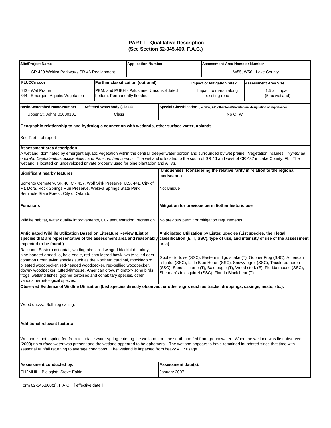| Site/Project Name                                                                                                                                                                                                                                                                                                                                                                                                                                                                              |                                   | <b>Application Number</b>                  |                                                                                                                                                                                                                                                                                                          |  | <b>Assessment Area Name or Number</b>          |                                                                                                                                                         |  |  |
|------------------------------------------------------------------------------------------------------------------------------------------------------------------------------------------------------------------------------------------------------------------------------------------------------------------------------------------------------------------------------------------------------------------------------------------------------------------------------------------------|-----------------------------------|--------------------------------------------|----------------------------------------------------------------------------------------------------------------------------------------------------------------------------------------------------------------------------------------------------------------------------------------------------------|--|------------------------------------------------|---------------------------------------------------------------------------------------------------------------------------------------------------------|--|--|
| SR 429 Wekiva Parkway / SR 46 Realignment                                                                                                                                                                                                                                                                                                                                                                                                                                                      |                                   |                                            |                                                                                                                                                                                                                                                                                                          |  |                                                | W55, W56 - Lake County                                                                                                                                  |  |  |
| <b>FLUCCs code</b>                                                                                                                                                                                                                                                                                                                                                                                                                                                                             |                                   | <b>Further classification (optional)</b>   |                                                                                                                                                                                                                                                                                                          |  | <b>Impact or Mitigation Site?</b>              | Assessment Area Size                                                                                                                                    |  |  |
| 643 - Wet Prairie<br>644 - Emergent Aquatic Vegetation                                                                                                                                                                                                                                                                                                                                                                                                                                         | bottom, Permanently flooded       | PEM, and PUBH - Palustrine, Unconsolidated |                                                                                                                                                                                                                                                                                                          |  | Impact to marsh along<br>existing road         | 1.5 ac impact<br>(5 ac wetland)                                                                                                                         |  |  |
| <b>Basin/Watershed Name/Number</b>                                                                                                                                                                                                                                                                                                                                                                                                                                                             | <b>Affected Waterbody (Class)</b> |                                            |                                                                                                                                                                                                                                                                                                          |  |                                                | Special Classification (i.e.OFW, AP, other local/state/federal designation of importance)                                                               |  |  |
| Upper St. Johns 03080101                                                                                                                                                                                                                                                                                                                                                                                                                                                                       | Class III                         |                                            |                                                                                                                                                                                                                                                                                                          |  | No OFW                                         |                                                                                                                                                         |  |  |
| Geographic relationship to and hydrologic connection with wetlands, other surface water, uplands                                                                                                                                                                                                                                                                                                                                                                                               |                                   |                                            |                                                                                                                                                                                                                                                                                                          |  |                                                |                                                                                                                                                         |  |  |
| See Part II of report                                                                                                                                                                                                                                                                                                                                                                                                                                                                          |                                   |                                            |                                                                                                                                                                                                                                                                                                          |  |                                                |                                                                                                                                                         |  |  |
| <b>Assessment area description</b><br>A wetland, dominated by emergent aquatic vegetation within the central, deeper water portion and surrounded by wet prairie. Vegetation includes: Nymphae<br>odorata, Cephalanthus occidentalis, and Panicum hemitomon. The wetland is located to the south of SR 46 and west of CR 437 in Lake County, FL. The<br>wetland is located on undeveloped private property used for pine plantation and ATVs.                                                  |                                   |                                            |                                                                                                                                                                                                                                                                                                          |  |                                                |                                                                                                                                                         |  |  |
| <b>Significant nearby features</b>                                                                                                                                                                                                                                                                                                                                                                                                                                                             |                                   |                                            | landscape.)                                                                                                                                                                                                                                                                                              |  |                                                | Uniqueness (considering the relative rarity in relation to the regional                                                                                 |  |  |
| Sorrento Cemetery, SR 46, CR 437, Wolf Sink Preserve, U.S. 441, City of<br>Mt. Dora, Rock Springs Run Preserve, Wekiva Springs State Park,<br>Seminole State Forest, City of Orlando                                                                                                                                                                                                                                                                                                           |                                   |                                            | Not Unique                                                                                                                                                                                                                                                                                               |  |                                                |                                                                                                                                                         |  |  |
| <b>Functions</b>                                                                                                                                                                                                                                                                                                                                                                                                                                                                               |                                   |                                            | Mitigation for previous permit/other historic use                                                                                                                                                                                                                                                        |  |                                                |                                                                                                                                                         |  |  |
| Wildlife habitat, water quality improvements, C02 sequestration, recreation                                                                                                                                                                                                                                                                                                                                                                                                                    |                                   |                                            |                                                                                                                                                                                                                                                                                                          |  | No previous permit or mitigation requirements. |                                                                                                                                                         |  |  |
| Anticipated Wildlife Utilization Based on Literature Review (List of<br>species that are representative of the assessment area and reasonably<br>expected to be found)                                                                                                                                                                                                                                                                                                                         |                                   |                                            | area)                                                                                                                                                                                                                                                                                                    |  |                                                | Anticipated Utilization by Listed Species (List species, their legal<br>classification (E, T, SSC), type of use, and intensity of use of the assessment |  |  |
| Raccoon, Eastern cottontail, wading birds, red winged blackbird, turkey,<br>nine-banded armadillo, bald eagle, red-shouldered hawk, white tailed deer,<br>common urban avian species such as the Northern cardinal, mockingbird,<br>pileated woodpecker, red-headed woodpecker, red-bellied woodpecker,<br>downy woodpecker, tufted-titmouse, American crow, migratory song birds,<br>frogs, wetland fishes, gopher tortoises and cohabitary species, other<br>various herpetological species. |                                   |                                            | Gopher tortoise (SSC), Eastern indigo snake (T), Gopher Frog (SSC), American<br>alligator (SSC), Little Blue Heron (SSC), Snowy egret (SSC), Tricolored heron<br>(SSC), Sandhill crane (T), Bald eagle (T), Wood stork (E), Florida mouse (SSC),<br>Sherman's fox squirrel (SSC), Florida Black bear (T) |  |                                                |                                                                                                                                                         |  |  |
| Observed Evidence of Wildlife Utilization (List species directly observed, or other signs such as tracks, droppings, casings, nests, etc.):                                                                                                                                                                                                                                                                                                                                                    |                                   |                                            |                                                                                                                                                                                                                                                                                                          |  |                                                |                                                                                                                                                         |  |  |
| Wood ducks. Bull frog calling.                                                                                                                                                                                                                                                                                                                                                                                                                                                                 |                                   |                                            |                                                                                                                                                                                                                                                                                                          |  |                                                |                                                                                                                                                         |  |  |
| <b>Additional relevant factors:</b>                                                                                                                                                                                                                                                                                                                                                                                                                                                            |                                   |                                            |                                                                                                                                                                                                                                                                                                          |  |                                                |                                                                                                                                                         |  |  |
| Wetland is both spring fed from a surface water spring entering the wetland from the south and fed from groundwater. When the wetland was first observed<br>(2003) no surface water was present and the wetland appeared to be ephemeral. The wetland appears to have remained inundated since that time with<br>seasonal rainfall returning to average conditions. The wetland is impacted from heavy ATV usage.                                                                              |                                   |                                            |                                                                                                                                                                                                                                                                                                          |  |                                                |                                                                                                                                                         |  |  |
| Assessment conducted by:                                                                                                                                                                                                                                                                                                                                                                                                                                                                       |                                   |                                            | Assessment date(s):                                                                                                                                                                                                                                                                                      |  |                                                |                                                                                                                                                         |  |  |
| <b>CH2MHILL Biologist: Steve Eakin</b>                                                                                                                                                                                                                                                                                                                                                                                                                                                         |                                   |                                            | January 2007                                                                                                                                                                                                                                                                                             |  |                                                |                                                                                                                                                         |  |  |
|                                                                                                                                                                                                                                                                                                                                                                                                                                                                                                |                                   |                                            |                                                                                                                                                                                                                                                                                                          |  |                                                |                                                                                                                                                         |  |  |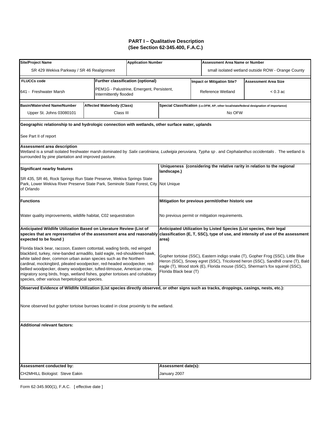| <b>Site/Project Name</b>                                                                                                                                                                                                                                                                                                                                                                                                                                                                                            |                                          | <b>Application Number</b>                 |                                                                                                                                                                                                                                                                                |  | <b>Assessment Area Name or Number</b>             |                                                                                           |  |
|---------------------------------------------------------------------------------------------------------------------------------------------------------------------------------------------------------------------------------------------------------------------------------------------------------------------------------------------------------------------------------------------------------------------------------------------------------------------------------------------------------------------|------------------------------------------|-------------------------------------------|--------------------------------------------------------------------------------------------------------------------------------------------------------------------------------------------------------------------------------------------------------------------------------|--|---------------------------------------------------|-------------------------------------------------------------------------------------------|--|
| SR 429 Wekiva Parkway / SR 46 Realignment                                                                                                                                                                                                                                                                                                                                                                                                                                                                           |                                          |                                           |                                                                                                                                                                                                                                                                                |  |                                                   | small isolated wetland outside ROW - Orange County                                        |  |
| <b>FLUCCs code</b>                                                                                                                                                                                                                                                                                                                                                                                                                                                                                                  | <b>Further classification (optional)</b> |                                           |                                                                                                                                                                                                                                                                                |  | <b>Impact or Mitigation Site?</b>                 | <b>Assessment Area Size</b>                                                               |  |
| 641 - Freshwater Marsh                                                                                                                                                                                                                                                                                                                                                                                                                                                                                              | Intermittently flooded                   | PEM1G - Palustrine, Emergent, Persistent, |                                                                                                                                                                                                                                                                                |  | Reference Wetland                                 | $< 0.3$ ac                                                                                |  |
| <b>Basin/Watershed Name/Number</b>                                                                                                                                                                                                                                                                                                                                                                                                                                                                                  | <b>Affected Waterbody (Class)</b>        |                                           |                                                                                                                                                                                                                                                                                |  |                                                   | Special Classification (i.e.OFW, AP, other local/state/federal designation of importance) |  |
| Upper St. Johns 03080101                                                                                                                                                                                                                                                                                                                                                                                                                                                                                            | Class III                                |                                           |                                                                                                                                                                                                                                                                                |  | No OFW                                            |                                                                                           |  |
| Geographic relationship to and hydrologic connection with wetlands, other surface water, uplands                                                                                                                                                                                                                                                                                                                                                                                                                    |                                          |                                           |                                                                                                                                                                                                                                                                                |  |                                                   |                                                                                           |  |
| See Part II of report                                                                                                                                                                                                                                                                                                                                                                                                                                                                                               |                                          |                                           |                                                                                                                                                                                                                                                                                |  |                                                   |                                                                                           |  |
| <b>Assessment area description</b><br>Wetland is a small isolated freshwater marsh dominated by Salix caroliniana, Ludwigia peruviana, Typha sp. and Cephalanthus occidentalis. The wetland is<br>surrounded by pine plantation and improved pasture.                                                                                                                                                                                                                                                               |                                          |                                           |                                                                                                                                                                                                                                                                                |  |                                                   |                                                                                           |  |
| <b>Significant nearby features</b>                                                                                                                                                                                                                                                                                                                                                                                                                                                                                  |                                          |                                           | landscape.)                                                                                                                                                                                                                                                                    |  |                                                   | Uniqueness (considering the relative rarity in relation to the regional                   |  |
| SR 435, SR 46, Rock Springs Run State Preserve, Wekiva Springs State<br>Park, Lower Wekiva River Preserve State Park, Seminole State Forest, City Not Unique<br>of Orlando                                                                                                                                                                                                                                                                                                                                          |                                          |                                           |                                                                                                                                                                                                                                                                                |  |                                                   |                                                                                           |  |
| Functions                                                                                                                                                                                                                                                                                                                                                                                                                                                                                                           |                                          |                                           |                                                                                                                                                                                                                                                                                |  | Mitigation for previous permit/other historic use |                                                                                           |  |
| Water quality improvements, wildlife habitat, C02 sequestration                                                                                                                                                                                                                                                                                                                                                                                                                                                     |                                          |                                           |                                                                                                                                                                                                                                                                                |  | No previous permit or mitigation requirements.    |                                                                                           |  |
| Anticipated Wildlife Utilization Based on Literature Review (List of<br>expected to be found)                                                                                                                                                                                                                                                                                                                                                                                                                       |                                          |                                           | Anticipated Utilization by Listed Species (List species, their legal<br>species that are representative of the assessment area and reasonably classification (E, T, SSC), type of use, and intensity of use of the assessment<br>area)                                         |  |                                                   |                                                                                           |  |
| Florida black bear, raccoon, Eastern cottontail, wading birds, red winged<br>blackbird, turkey, nine-banded armadillo, bald eagle, red-shouldered hawk,<br>white tailed deer, common urban avian species such as the Northern<br>cardinal, mockingbird, pileated woodpecker, red-headed woodpecker, red-<br>bellied woodpecker, downy woodpecker, tufted-titmouse, American crow,<br>migratory song birds, frogs, wetland fishes, gopher tortoises and cohabitary<br>species, other various herpetological species. |                                          |                                           | Gopher tortoise (SSC), Eastern indigo snake (T), Gopher Frog (SSC), Little Blue<br>Heron (SSC), Snowy egret (SSC), Tricolored heron (SSC), Sandhill crane (T), Bald<br>eagle (T), Wood stork (E), Florida mouse (SSC), Sherman's fox squirrel (SSC),<br>Florida Black bear (T) |  |                                                   |                                                                                           |  |
| Observed Evidence of Wildlife Utilization (List species directly observed, or other signs such as tracks, droppings, casings, nests, etc.):                                                                                                                                                                                                                                                                                                                                                                         |                                          |                                           |                                                                                                                                                                                                                                                                                |  |                                                   |                                                                                           |  |
| None observed but gopher tortoise burrows located in close proximity to the wetland.                                                                                                                                                                                                                                                                                                                                                                                                                                |                                          |                                           |                                                                                                                                                                                                                                                                                |  |                                                   |                                                                                           |  |
| <b>Additional relevant factors:</b>                                                                                                                                                                                                                                                                                                                                                                                                                                                                                 |                                          |                                           |                                                                                                                                                                                                                                                                                |  |                                                   |                                                                                           |  |
|                                                                                                                                                                                                                                                                                                                                                                                                                                                                                                                     |                                          |                                           |                                                                                                                                                                                                                                                                                |  |                                                   |                                                                                           |  |
| Assessment conducted by:                                                                                                                                                                                                                                                                                                                                                                                                                                                                                            |                                          |                                           | Assessment date(s):                                                                                                                                                                                                                                                            |  |                                                   |                                                                                           |  |
| CH2MHILL Biologist: Steve Eakin                                                                                                                                                                                                                                                                                                                                                                                                                                                                                     |                                          |                                           | January 2007                                                                                                                                                                                                                                                                   |  |                                                   |                                                                                           |  |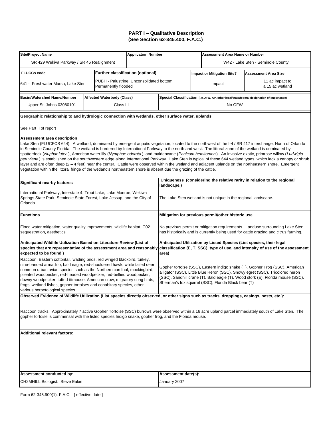| W42 - Lake Sten - Seminole County<br>SR 429 Wekiva Parkway / SR 46 Realignment<br><b>Further classification (optional)</b><br><b>FLUCCs code</b><br><b>Impact or Mitigation Site?</b><br><b>Assessment Area Size</b><br>PUBH - Palustrine, Unconsolidated bottom,<br>11 ac impact to<br>641 - Freshwater Marsh, Lake Sten<br>Impact<br>Permanently flooded<br>a 15 ac wetland<br><b>Basin/Watershed Name/Number</b><br>Affected Waterbody (Class)<br>Special Classification (i.e.OFW, AP, other local/state/federal designation of importance)<br>Upper St. Johns 03080101<br>Class III<br>No OFW<br>Geographic relationship to and hydrologic connection with wetlands, other surface water, uplands<br>See Part II of report<br>Assessment area description<br>Lake Sten (FLUCFCS 644). A wetland, dominated by emergent aquatic vegetation, located to the northwest of the I-4 / SR 417 interchange, North of Orlando<br>in Seminole County Florida. The wetland is bordered by International Parkway to the north and west. The littoral zone of the wetland is dominated by<br>spatterdock (Nuphar lutea), American water lily (Nymphae odorata), and maidencane (Panicum hemitomon). An invasive exotic, primrose willow (Ludwigia<br>peruviana) is established on the southwestern edge along International Parkway. Lake Sten is typical of these 644 wetland types, which lack a canopy or shrub<br>layer and are often deep (2 – 4 feet) near the center. Cattle were observed within the wetland and adjacent uplands on the northeastern shore. Emergent<br>vegetation within the littoral fringe of the wetland's northeastern shore is absent due the grazing of the cattle.<br>Uniqueness (considering the relative rarity in relation to the regional<br><b>Significant nearby features</b><br>landscape.)<br>International Parkway, Interstate 4, Trout Lake, Lake Monroe, Wekiwa<br>Springs State Park, Seminole State Forest, Lake Jessup, and the City of<br>The Lake Sten wetland is not unique in the regional landscape.<br>Orlando.<br><b>Functions</b><br>Mitigation for previous permit/other historic use<br>No previous permit or mitigation requirements. Landuse surrounding Lake Sten<br>Flood water mitigation, water quality improvements, wildlife habitat, C02<br>sequestration, aesthetics<br>has historically and is currently being used for cattle grazing and citrus farming.<br>Anticipated Wildlife Utilization Based on Literature Review (List of<br>Anticipated Utilization by Listed Species (List species, their legal<br>species that are representative of the assessment area and reasonably<br>classification (E, T, SSC), type of use, and intensity of use of the assessment<br>expected to be found)<br>area)<br>Raccoon, Eastern cottontail, wading birds, red winged blackbird, turkey,<br>nine-banded armadillo, bald eagle, red-shouldered hawk, white tailed deer,<br>Gopher tortoise (SSC), Eastern indigo snake (T), Gopher Frog (SSC), American<br>common urban avian species such as the Northern cardinal, mockingbird,<br>alligator (SSC), Little Blue Heron (SSC), Snowy egret (SSC), Tricolored heron<br>pileated woodpecker, red-headed woodpecker, red-bellied woodpecker,<br>(SSC), Sandhill crane (T), Bald eagle (T), Wood stork (E), Florida mouse (SSC),<br>downy woodpecker, tufted-titmouse, American crow, migratory song birds,<br>Sherman's fox squirrel (SSC), Florida Black bear (T)<br>frogs, wetland fishes, gopher tortoises and cohabitary species, other<br>various herpetological species.<br>Observed Evidence of Wildlife Utilization (List species directly observed, or other signs such as tracks, droppings, casings, nests, etc.):<br>Raccoon tracks. Approximately 7 active Gopher Tortoise (SSC) burrows were observed within a 16 acre upland parcel immediately south of Lake Sten. The<br>gopher tortoise is commensal with the listed species Indigo snake, gopher frog, and the Florida mouse.<br><b>Additional relevant factors:</b><br>Assessment conducted by:<br>Assessment date(s):<br>CH2MHILL Biologist: Steve Eakin<br>January 2007 | <b>Site/Project Name</b> |  | <b>Application Number</b> |  |  | <b>Assessment Area Name or Number</b> |  |  |
|---------------------------------------------------------------------------------------------------------------------------------------------------------------------------------------------------------------------------------------------------------------------------------------------------------------------------------------------------------------------------------------------------------------------------------------------------------------------------------------------------------------------------------------------------------------------------------------------------------------------------------------------------------------------------------------------------------------------------------------------------------------------------------------------------------------------------------------------------------------------------------------------------------------------------------------------------------------------------------------------------------------------------------------------------------------------------------------------------------------------------------------------------------------------------------------------------------------------------------------------------------------------------------------------------------------------------------------------------------------------------------------------------------------------------------------------------------------------------------------------------------------------------------------------------------------------------------------------------------------------------------------------------------------------------------------------------------------------------------------------------------------------------------------------------------------------------------------------------------------------------------------------------------------------------------------------------------------------------------------------------------------------------------------------------------------------------------------------------------------------------------------------------------------------------------------------------------------------------------------------------------------------------------------------------------------------------------------------------------------------------------------------------------------------------------------------------------------------------------------------------------------------------------------------------------------------------------------------------------------------------------------------------------------------------------------------------------------------------------------------------------------------------------------------------------------------------------------------------------------------------------------------------------------------------------------------------------------------------------------------------------------------------------------------------------------------------------------------------------------------------------------------------------------------------------------------------------------------------------------------------------------------------------------------------------------------------------------------------------------------------------------------------------------------------------------------------------------------------------------------------------------------------------------------------------------------------------------------------------------------------------------------------------------------------------------------------------------------------------------------------------------------------------------------------------------------------------------------------------------------------------------------------------------------------------------------------------------------------------------------------------------------------------------------------------------------------------------------------------------------------------------------------|--------------------------|--|---------------------------|--|--|---------------------------------------|--|--|
|                                                                                                                                                                                                                                                                                                                                                                                                                                                                                                                                                                                                                                                                                                                                                                                                                                                                                                                                                                                                                                                                                                                                                                                                                                                                                                                                                                                                                                                                                                                                                                                                                                                                                                                                                                                                                                                                                                                                                                                                                                                                                                                                                                                                                                                                                                                                                                                                                                                                                                                                                                                                                                                                                                                                                                                                                                                                                                                                                                                                                                                                                                                                                                                                                                                                                                                                                                                                                                                                                                                                                                                                                                                                                                                                                                                                                                                                                                                                                                                                                                                                                                                                                   |                          |  |                           |  |  |                                       |  |  |
|                                                                                                                                                                                                                                                                                                                                                                                                                                                                                                                                                                                                                                                                                                                                                                                                                                                                                                                                                                                                                                                                                                                                                                                                                                                                                                                                                                                                                                                                                                                                                                                                                                                                                                                                                                                                                                                                                                                                                                                                                                                                                                                                                                                                                                                                                                                                                                                                                                                                                                                                                                                                                                                                                                                                                                                                                                                                                                                                                                                                                                                                                                                                                                                                                                                                                                                                                                                                                                                                                                                                                                                                                                                                                                                                                                                                                                                                                                                                                                                                                                                                                                                                                   |                          |  |                           |  |  |                                       |  |  |
|                                                                                                                                                                                                                                                                                                                                                                                                                                                                                                                                                                                                                                                                                                                                                                                                                                                                                                                                                                                                                                                                                                                                                                                                                                                                                                                                                                                                                                                                                                                                                                                                                                                                                                                                                                                                                                                                                                                                                                                                                                                                                                                                                                                                                                                                                                                                                                                                                                                                                                                                                                                                                                                                                                                                                                                                                                                                                                                                                                                                                                                                                                                                                                                                                                                                                                                                                                                                                                                                                                                                                                                                                                                                                                                                                                                                                                                                                                                                                                                                                                                                                                                                                   |                          |  |                           |  |  |                                       |  |  |
|                                                                                                                                                                                                                                                                                                                                                                                                                                                                                                                                                                                                                                                                                                                                                                                                                                                                                                                                                                                                                                                                                                                                                                                                                                                                                                                                                                                                                                                                                                                                                                                                                                                                                                                                                                                                                                                                                                                                                                                                                                                                                                                                                                                                                                                                                                                                                                                                                                                                                                                                                                                                                                                                                                                                                                                                                                                                                                                                                                                                                                                                                                                                                                                                                                                                                                                                                                                                                                                                                                                                                                                                                                                                                                                                                                                                                                                                                                                                                                                                                                                                                                                                                   |                          |  |                           |  |  |                                       |  |  |
|                                                                                                                                                                                                                                                                                                                                                                                                                                                                                                                                                                                                                                                                                                                                                                                                                                                                                                                                                                                                                                                                                                                                                                                                                                                                                                                                                                                                                                                                                                                                                                                                                                                                                                                                                                                                                                                                                                                                                                                                                                                                                                                                                                                                                                                                                                                                                                                                                                                                                                                                                                                                                                                                                                                                                                                                                                                                                                                                                                                                                                                                                                                                                                                                                                                                                                                                                                                                                                                                                                                                                                                                                                                                                                                                                                                                                                                                                                                                                                                                                                                                                                                                                   |                          |  |                           |  |  |                                       |  |  |
|                                                                                                                                                                                                                                                                                                                                                                                                                                                                                                                                                                                                                                                                                                                                                                                                                                                                                                                                                                                                                                                                                                                                                                                                                                                                                                                                                                                                                                                                                                                                                                                                                                                                                                                                                                                                                                                                                                                                                                                                                                                                                                                                                                                                                                                                                                                                                                                                                                                                                                                                                                                                                                                                                                                                                                                                                                                                                                                                                                                                                                                                                                                                                                                                                                                                                                                                                                                                                                                                                                                                                                                                                                                                                                                                                                                                                                                                                                                                                                                                                                                                                                                                                   |                          |  |                           |  |  |                                       |  |  |
|                                                                                                                                                                                                                                                                                                                                                                                                                                                                                                                                                                                                                                                                                                                                                                                                                                                                                                                                                                                                                                                                                                                                                                                                                                                                                                                                                                                                                                                                                                                                                                                                                                                                                                                                                                                                                                                                                                                                                                                                                                                                                                                                                                                                                                                                                                                                                                                                                                                                                                                                                                                                                                                                                                                                                                                                                                                                                                                                                                                                                                                                                                                                                                                                                                                                                                                                                                                                                                                                                                                                                                                                                                                                                                                                                                                                                                                                                                                                                                                                                                                                                                                                                   |                          |  |                           |  |  |                                       |  |  |
|                                                                                                                                                                                                                                                                                                                                                                                                                                                                                                                                                                                                                                                                                                                                                                                                                                                                                                                                                                                                                                                                                                                                                                                                                                                                                                                                                                                                                                                                                                                                                                                                                                                                                                                                                                                                                                                                                                                                                                                                                                                                                                                                                                                                                                                                                                                                                                                                                                                                                                                                                                                                                                                                                                                                                                                                                                                                                                                                                                                                                                                                                                                                                                                                                                                                                                                                                                                                                                                                                                                                                                                                                                                                                                                                                                                                                                                                                                                                                                                                                                                                                                                                                   |                          |  |                           |  |  |                                       |  |  |
|                                                                                                                                                                                                                                                                                                                                                                                                                                                                                                                                                                                                                                                                                                                                                                                                                                                                                                                                                                                                                                                                                                                                                                                                                                                                                                                                                                                                                                                                                                                                                                                                                                                                                                                                                                                                                                                                                                                                                                                                                                                                                                                                                                                                                                                                                                                                                                                                                                                                                                                                                                                                                                                                                                                                                                                                                                                                                                                                                                                                                                                                                                                                                                                                                                                                                                                                                                                                                                                                                                                                                                                                                                                                                                                                                                                                                                                                                                                                                                                                                                                                                                                                                   |                          |  |                           |  |  |                                       |  |  |
|                                                                                                                                                                                                                                                                                                                                                                                                                                                                                                                                                                                                                                                                                                                                                                                                                                                                                                                                                                                                                                                                                                                                                                                                                                                                                                                                                                                                                                                                                                                                                                                                                                                                                                                                                                                                                                                                                                                                                                                                                                                                                                                                                                                                                                                                                                                                                                                                                                                                                                                                                                                                                                                                                                                                                                                                                                                                                                                                                                                                                                                                                                                                                                                                                                                                                                                                                                                                                                                                                                                                                                                                                                                                                                                                                                                                                                                                                                                                                                                                                                                                                                                                                   |                          |  |                           |  |  |                                       |  |  |
|                                                                                                                                                                                                                                                                                                                                                                                                                                                                                                                                                                                                                                                                                                                                                                                                                                                                                                                                                                                                                                                                                                                                                                                                                                                                                                                                                                                                                                                                                                                                                                                                                                                                                                                                                                                                                                                                                                                                                                                                                                                                                                                                                                                                                                                                                                                                                                                                                                                                                                                                                                                                                                                                                                                                                                                                                                                                                                                                                                                                                                                                                                                                                                                                                                                                                                                                                                                                                                                                                                                                                                                                                                                                                                                                                                                                                                                                                                                                                                                                                                                                                                                                                   |                          |  |                           |  |  |                                       |  |  |
|                                                                                                                                                                                                                                                                                                                                                                                                                                                                                                                                                                                                                                                                                                                                                                                                                                                                                                                                                                                                                                                                                                                                                                                                                                                                                                                                                                                                                                                                                                                                                                                                                                                                                                                                                                                                                                                                                                                                                                                                                                                                                                                                                                                                                                                                                                                                                                                                                                                                                                                                                                                                                                                                                                                                                                                                                                                                                                                                                                                                                                                                                                                                                                                                                                                                                                                                                                                                                                                                                                                                                                                                                                                                                                                                                                                                                                                                                                                                                                                                                                                                                                                                                   |                          |  |                           |  |  |                                       |  |  |
|                                                                                                                                                                                                                                                                                                                                                                                                                                                                                                                                                                                                                                                                                                                                                                                                                                                                                                                                                                                                                                                                                                                                                                                                                                                                                                                                                                                                                                                                                                                                                                                                                                                                                                                                                                                                                                                                                                                                                                                                                                                                                                                                                                                                                                                                                                                                                                                                                                                                                                                                                                                                                                                                                                                                                                                                                                                                                                                                                                                                                                                                                                                                                                                                                                                                                                                                                                                                                                                                                                                                                                                                                                                                                                                                                                                                                                                                                                                                                                                                                                                                                                                                                   |                          |  |                           |  |  |                                       |  |  |
|                                                                                                                                                                                                                                                                                                                                                                                                                                                                                                                                                                                                                                                                                                                                                                                                                                                                                                                                                                                                                                                                                                                                                                                                                                                                                                                                                                                                                                                                                                                                                                                                                                                                                                                                                                                                                                                                                                                                                                                                                                                                                                                                                                                                                                                                                                                                                                                                                                                                                                                                                                                                                                                                                                                                                                                                                                                                                                                                                                                                                                                                                                                                                                                                                                                                                                                                                                                                                                                                                                                                                                                                                                                                                                                                                                                                                                                                                                                                                                                                                                                                                                                                                   |                          |  |                           |  |  |                                       |  |  |
|                                                                                                                                                                                                                                                                                                                                                                                                                                                                                                                                                                                                                                                                                                                                                                                                                                                                                                                                                                                                                                                                                                                                                                                                                                                                                                                                                                                                                                                                                                                                                                                                                                                                                                                                                                                                                                                                                                                                                                                                                                                                                                                                                                                                                                                                                                                                                                                                                                                                                                                                                                                                                                                                                                                                                                                                                                                                                                                                                                                                                                                                                                                                                                                                                                                                                                                                                                                                                                                                                                                                                                                                                                                                                                                                                                                                                                                                                                                                                                                                                                                                                                                                                   |                          |  |                           |  |  |                                       |  |  |
|                                                                                                                                                                                                                                                                                                                                                                                                                                                                                                                                                                                                                                                                                                                                                                                                                                                                                                                                                                                                                                                                                                                                                                                                                                                                                                                                                                                                                                                                                                                                                                                                                                                                                                                                                                                                                                                                                                                                                                                                                                                                                                                                                                                                                                                                                                                                                                                                                                                                                                                                                                                                                                                                                                                                                                                                                                                                                                                                                                                                                                                                                                                                                                                                                                                                                                                                                                                                                                                                                                                                                                                                                                                                                                                                                                                                                                                                                                                                                                                                                                                                                                                                                   |                          |  |                           |  |  |                                       |  |  |
|                                                                                                                                                                                                                                                                                                                                                                                                                                                                                                                                                                                                                                                                                                                                                                                                                                                                                                                                                                                                                                                                                                                                                                                                                                                                                                                                                                                                                                                                                                                                                                                                                                                                                                                                                                                                                                                                                                                                                                                                                                                                                                                                                                                                                                                                                                                                                                                                                                                                                                                                                                                                                                                                                                                                                                                                                                                                                                                                                                                                                                                                                                                                                                                                                                                                                                                                                                                                                                                                                                                                                                                                                                                                                                                                                                                                                                                                                                                                                                                                                                                                                                                                                   |                          |  |                           |  |  |                                       |  |  |
|                                                                                                                                                                                                                                                                                                                                                                                                                                                                                                                                                                                                                                                                                                                                                                                                                                                                                                                                                                                                                                                                                                                                                                                                                                                                                                                                                                                                                                                                                                                                                                                                                                                                                                                                                                                                                                                                                                                                                                                                                                                                                                                                                                                                                                                                                                                                                                                                                                                                                                                                                                                                                                                                                                                                                                                                                                                                                                                                                                                                                                                                                                                                                                                                                                                                                                                                                                                                                                                                                                                                                                                                                                                                                                                                                                                                                                                                                                                                                                                                                                                                                                                                                   |                          |  |                           |  |  |                                       |  |  |
|                                                                                                                                                                                                                                                                                                                                                                                                                                                                                                                                                                                                                                                                                                                                                                                                                                                                                                                                                                                                                                                                                                                                                                                                                                                                                                                                                                                                                                                                                                                                                                                                                                                                                                                                                                                                                                                                                                                                                                                                                                                                                                                                                                                                                                                                                                                                                                                                                                                                                                                                                                                                                                                                                                                                                                                                                                                                                                                                                                                                                                                                                                                                                                                                                                                                                                                                                                                                                                                                                                                                                                                                                                                                                                                                                                                                                                                                                                                                                                                                                                                                                                                                                   |                          |  |                           |  |  |                                       |  |  |
|                                                                                                                                                                                                                                                                                                                                                                                                                                                                                                                                                                                                                                                                                                                                                                                                                                                                                                                                                                                                                                                                                                                                                                                                                                                                                                                                                                                                                                                                                                                                                                                                                                                                                                                                                                                                                                                                                                                                                                                                                                                                                                                                                                                                                                                                                                                                                                                                                                                                                                                                                                                                                                                                                                                                                                                                                                                                                                                                                                                                                                                                                                                                                                                                                                                                                                                                                                                                                                                                                                                                                                                                                                                                                                                                                                                                                                                                                                                                                                                                                                                                                                                                                   |                          |  |                           |  |  |                                       |  |  |
|                                                                                                                                                                                                                                                                                                                                                                                                                                                                                                                                                                                                                                                                                                                                                                                                                                                                                                                                                                                                                                                                                                                                                                                                                                                                                                                                                                                                                                                                                                                                                                                                                                                                                                                                                                                                                                                                                                                                                                                                                                                                                                                                                                                                                                                                                                                                                                                                                                                                                                                                                                                                                                                                                                                                                                                                                                                                                                                                                                                                                                                                                                                                                                                                                                                                                                                                                                                                                                                                                                                                                                                                                                                                                                                                                                                                                                                                                                                                                                                                                                                                                                                                                   |                          |  |                           |  |  |                                       |  |  |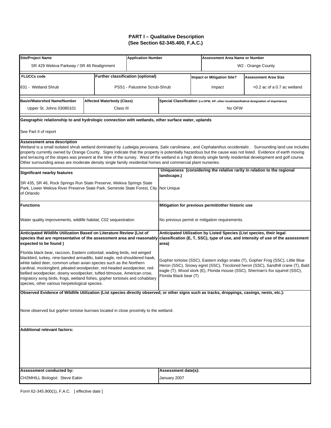| <b>Site/Project Name</b>                                                                                                                                                                                                                                                                                                                                                                                                                                                                                                                                                                                                                    |                                          | <b>Application Number</b>                                                                                                                                                                                                                                                      |                                                                                                                                                                                                                                        |                                                   | <b>Assessment Area Name or Number</b>                                   |                                                                                           |  |
|---------------------------------------------------------------------------------------------------------------------------------------------------------------------------------------------------------------------------------------------------------------------------------------------------------------------------------------------------------------------------------------------------------------------------------------------------------------------------------------------------------------------------------------------------------------------------------------------------------------------------------------------|------------------------------------------|--------------------------------------------------------------------------------------------------------------------------------------------------------------------------------------------------------------------------------------------------------------------------------|----------------------------------------------------------------------------------------------------------------------------------------------------------------------------------------------------------------------------------------|---------------------------------------------------|-------------------------------------------------------------------------|-------------------------------------------------------------------------------------------|--|
| SR 429 Wekiva Parkway / SR 46 Realignment                                                                                                                                                                                                                                                                                                                                                                                                                                                                                                                                                                                                   |                                          |                                                                                                                                                                                                                                                                                |                                                                                                                                                                                                                                        |                                                   |                                                                         | W <sub>2</sub> - Orange County                                                            |  |
| <b>FLUCCs code</b>                                                                                                                                                                                                                                                                                                                                                                                                                                                                                                                                                                                                                          | <b>Further classification (optional)</b> |                                                                                                                                                                                                                                                                                |                                                                                                                                                                                                                                        |                                                   | <b>Impact or Mitigation Site?</b>                                       | <b>Assessment Area Size</b>                                                               |  |
| 631 - Wetland Shrub                                                                                                                                                                                                                                                                                                                                                                                                                                                                                                                                                                                                                         |                                          | PSS1 - Palustrine Scrub-Shrub                                                                                                                                                                                                                                                  |                                                                                                                                                                                                                                        |                                                   | Impact                                                                  | <0.2 ac of a 0.7 ac wetland                                                               |  |
| <b>Basin/Watershed Name/Number</b>                                                                                                                                                                                                                                                                                                                                                                                                                                                                                                                                                                                                          | <b>Affected Waterbody (Class)</b>        |                                                                                                                                                                                                                                                                                |                                                                                                                                                                                                                                        |                                                   |                                                                         | Special Classification (i.e.OFW, AP, other local/state/federal designation of importance) |  |
| Upper St. Johns 03080101                                                                                                                                                                                                                                                                                                                                                                                                                                                                                                                                                                                                                    | Class III                                |                                                                                                                                                                                                                                                                                |                                                                                                                                                                                                                                        |                                                   | No OFW                                                                  |                                                                                           |  |
| Geographic relationship to and hydrologic connection with wetlands, other surface water, uplands                                                                                                                                                                                                                                                                                                                                                                                                                                                                                                                                            |                                          |                                                                                                                                                                                                                                                                                |                                                                                                                                                                                                                                        |                                                   |                                                                         |                                                                                           |  |
| See Part II of report                                                                                                                                                                                                                                                                                                                                                                                                                                                                                                                                                                                                                       |                                          |                                                                                                                                                                                                                                                                                |                                                                                                                                                                                                                                        |                                                   |                                                                         |                                                                                           |  |
| Assessment area description<br>Wetland is a small isolated shrub wetland dominated by Ludwigia peruviana, Salix caroliniana, and Cephalanthus occidentalis. Surrounding land use includes<br>property currently owned by Orange County. Signs indicate that the property is potentially hazardous but the cause was not listed. Evidence of earth moving<br>and terracing of the slopes was present at the time of the survey. West of the wetland is a high density single family residential development and golf course.<br>Other surrounding areas are moderate density single family residential homes and commercial plant nurseries. |                                          |                                                                                                                                                                                                                                                                                |                                                                                                                                                                                                                                        |                                                   |                                                                         |                                                                                           |  |
| <b>Significant nearby features</b>                                                                                                                                                                                                                                                                                                                                                                                                                                                                                                                                                                                                          |                                          | landscape.)                                                                                                                                                                                                                                                                    |                                                                                                                                                                                                                                        |                                                   | Uniqueness (considering the relative rarity in relation to the regional |                                                                                           |  |
| SR 435, SR 46, Rock Springs Run State Preserve, Wekiva Springs State<br>Park, Lower Wekiva River Preserve State Park, Seminole State Forest, City Not Unique<br>of Orlando                                                                                                                                                                                                                                                                                                                                                                                                                                                                  |                                          |                                                                                                                                                                                                                                                                                |                                                                                                                                                                                                                                        |                                                   |                                                                         |                                                                                           |  |
| <b>Functions</b>                                                                                                                                                                                                                                                                                                                                                                                                                                                                                                                                                                                                                            |                                          |                                                                                                                                                                                                                                                                                |                                                                                                                                                                                                                                        | Mitigation for previous permit/other historic use |                                                                         |                                                                                           |  |
| Water quality improvements, wildlife habitat, C02 sequestration                                                                                                                                                                                                                                                                                                                                                                                                                                                                                                                                                                             |                                          |                                                                                                                                                                                                                                                                                |                                                                                                                                                                                                                                        |                                                   | No previous permit or mitigation requirements.                          |                                                                                           |  |
| Anticipated Wildlife Utilization Based on Literature Review (List of<br>expected to be found)                                                                                                                                                                                                                                                                                                                                                                                                                                                                                                                                               |                                          |                                                                                                                                                                                                                                                                                | Anticipated Utilization by Listed Species (List species, their legal<br>species that are representative of the assessment area and reasonably classification (E, T, SSC), type of use, and intensity of use of the assessment<br>area) |                                                   |                                                                         |                                                                                           |  |
| Florida black bear, raccoon, Eastern cottontail, wading birds, red winged<br>blackbird, turkey, nine-banded armadillo, bald eagle, red-shouldered hawk,<br>white tailed deer, common urban avian species such as the Northern<br>cardinal, mockingbird, pileated woodpecker, red-headed woodpecker, red-<br>bellied woodpecker, downy woodpecker, tufted-titmouse, American crow,<br>migratory song birds, frogs, wetland fishes, gopher tortoises and cohabitary<br>species, other various herpetological species.                                                                                                                         |                                          | Gopher tortoise (SSC), Eastern indigo snake (T), Gopher Frog (SSC), Little Blue<br>Heron (SSC), Snowy egret (SSC), Tricolored heron (SSC), Sandhill crane (T), Bald<br>eagle (T), Wood stork (E), Florida mouse (SSC), Sherman's fox squirrel (SSC),<br>Florida Black bear (T) |                                                                                                                                                                                                                                        |                                                   |                                                                         |                                                                                           |  |
| Observed Evidence of Wildlife Utilization (List species directly observed, or other signs such as tracks, droppings, casings, nests, etc.):                                                                                                                                                                                                                                                                                                                                                                                                                                                                                                 |                                          |                                                                                                                                                                                                                                                                                |                                                                                                                                                                                                                                        |                                                   |                                                                         |                                                                                           |  |
| None observed but gopher tortoise burrows located in close proximity to the wetland.                                                                                                                                                                                                                                                                                                                                                                                                                                                                                                                                                        |                                          |                                                                                                                                                                                                                                                                                |                                                                                                                                                                                                                                        |                                                   |                                                                         |                                                                                           |  |
| <b>Additional relevant factors:</b>                                                                                                                                                                                                                                                                                                                                                                                                                                                                                                                                                                                                         |                                          |                                                                                                                                                                                                                                                                                |                                                                                                                                                                                                                                        |                                                   |                                                                         |                                                                                           |  |
|                                                                                                                                                                                                                                                                                                                                                                                                                                                                                                                                                                                                                                             |                                          |                                                                                                                                                                                                                                                                                |                                                                                                                                                                                                                                        |                                                   |                                                                         |                                                                                           |  |
| Assessment conducted by:                                                                                                                                                                                                                                                                                                                                                                                                                                                                                                                                                                                                                    |                                          |                                                                                                                                                                                                                                                                                | Assessment date(s):                                                                                                                                                                                                                    |                                                   |                                                                         |                                                                                           |  |
| CH2MHILL Biologist: Steve Eakin                                                                                                                                                                                                                                                                                                                                                                                                                                                                                                                                                                                                             |                                          |                                                                                                                                                                                                                                                                                | January 2007                                                                                                                                                                                                                           |                                                   |                                                                         |                                                                                           |  |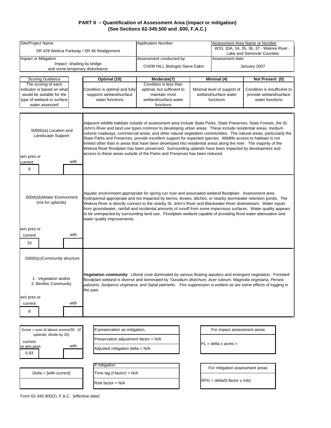| Site/Project Name                                                                                                                                  |                           | SR 429 Wekiva Parkway / SR 46 Realignment                                                                 | <b>Application Number</b>                                                                                                                                                                                                                                                                                                                                                                                                                                                                                                                                                                                                                                                                                                                                                       | Assessment Area Name or Number<br>W33, 33A, 34, 35, 36, 37 - Wekiva River - |                                                                                  |                                                                                               |  |
|----------------------------------------------------------------------------------------------------------------------------------------------------|---------------------------|-----------------------------------------------------------------------------------------------------------|---------------------------------------------------------------------------------------------------------------------------------------------------------------------------------------------------------------------------------------------------------------------------------------------------------------------------------------------------------------------------------------------------------------------------------------------------------------------------------------------------------------------------------------------------------------------------------------------------------------------------------------------------------------------------------------------------------------------------------------------------------------------------------|-----------------------------------------------------------------------------|----------------------------------------------------------------------------------|-----------------------------------------------------------------------------------------------|--|
| Impact or Mitigation                                                                                                                               |                           |                                                                                                           | Assessment conducted by:                                                                                                                                                                                                                                                                                                                                                                                                                                                                                                                                                                                                                                                                                                                                                        |                                                                             | Assessment date:                                                                 | Lake and Seminole Counties                                                                    |  |
|                                                                                                                                                    | Impact -shading by bridge | and some temporary disturbance                                                                            | CH2M HILL Biologist Steve Eakin                                                                                                                                                                                                                                                                                                                                                                                                                                                                                                                                                                                                                                                                                                                                                 |                                                                             |                                                                                  | January 2007                                                                                  |  |
|                                                                                                                                                    |                           |                                                                                                           |                                                                                                                                                                                                                                                                                                                                                                                                                                                                                                                                                                                                                                                                                                                                                                                 |                                                                             |                                                                                  |                                                                                               |  |
| Scoring Guidance<br>The scoring of each<br>indicator is based on what<br>would be suitable for the<br>type of wetland or surface<br>water assessed |                           | Optimal (10)<br>Condition is optimal and fully<br>supports wetland/surface<br>water functions             | Moderate(7)<br>Condition is less than<br>optimal, but sufficient to<br>maintain most<br>wetland/surface water<br>functions                                                                                                                                                                                                                                                                                                                                                                                                                                                                                                                                                                                                                                                      |                                                                             | Minimal (4)<br>Minimal level of support of<br>wetland/surface water<br>functions | Not Present (0)<br>Condition is insufficient to<br>provide wetland/surface<br>water functions |  |
|                                                                                                                                                    |                           |                                                                                                           |                                                                                                                                                                                                                                                                                                                                                                                                                                                                                                                                                                                                                                                                                                                                                                                 |                                                                             |                                                                                  |                                                                                               |  |
| $.500(6)(a)$ Location and<br>Landscape Support<br>w/o pres or<br>current<br>9                                                                      | with                      |                                                                                                           | Adjacent wildlife habitats outside of assessment area include State Parks, State Preserves, State Forests, the St.<br>John's River and land use types common to developing urban areas. These include residential areas, medium<br>volume roadways, commercial areas, and other natural vegetation communities. The natural areas, particularly the<br>State Parks and Preserves, provide excellent support for expected species. Wildlife access to habitats is not<br>limited other than in areas that have been developed into residential areas along the river. The majority of the<br>Wekiva River floodplain has been preserved. Surrounding uplands have been impacted by development and<br>access to these areas outside of the Parks and Preserves has been reduced. |                                                                             |                                                                                  |                                                                                               |  |
|                                                                                                                                                    |                           |                                                                                                           |                                                                                                                                                                                                                                                                                                                                                                                                                                                                                                                                                                                                                                                                                                                                                                                 |                                                                             |                                                                                  |                                                                                               |  |
| .500(6)(b)Water Environment<br>(n/a for uplands)<br>w/o pres or<br>current                                                                         | with                      | water quality improvements.                                                                               | Aquatic environment appropriate for spring run river and associated wetland floodplain. Assessment area<br>hydroperiod appropriate and not impacted by berms, levees, ditches, or nearby stormwater retention ponds. The<br>Wekiva River is directly connect to the nearby St. John's River and Blackwater River downstream. Water inputs<br>from groundwater, rainfall and incidental amounts of runoff from some impervious surfaces. Water quality appears<br>to be unimpacted by surrounding land use. Floodplain wetland capable of providing flood water attenuation and                                                                                                                                                                                                  |                                                                             |                                                                                  |                                                                                               |  |
| 10                                                                                                                                                 |                           |                                                                                                           |                                                                                                                                                                                                                                                                                                                                                                                                                                                                                                                                                                                                                                                                                                                                                                                 |                                                                             |                                                                                  |                                                                                               |  |
| .500(6)(c)Community structure                                                                                                                      |                           |                                                                                                           |                                                                                                                                                                                                                                                                                                                                                                                                                                                                                                                                                                                                                                                                                                                                                                                 |                                                                             |                                                                                  |                                                                                               |  |
| 1. Vegetation and/or<br>2. Benthic Community                                                                                                       |                           | the past.                                                                                                 | Vegetation community: Littoral zone dominated by various floating aquatics and emergent vegetation. Forested<br>floodplain wetland is diverse and dominated by Taxodium distichum, Acer rubrum, Magnolia virginiana, Persea<br>palustris, Juniperus virginiana, and Sabal palmetto. Fire suppression is evident as are some effects of logging in                                                                                                                                                                                                                                                                                                                                                                                                                               |                                                                             |                                                                                  |                                                                                               |  |
| w/o pres or                                                                                                                                        |                           |                                                                                                           |                                                                                                                                                                                                                                                                                                                                                                                                                                                                                                                                                                                                                                                                                                                                                                                 |                                                                             |                                                                                  |                                                                                               |  |
| current                                                                                                                                            | with                      |                                                                                                           |                                                                                                                                                                                                                                                                                                                                                                                                                                                                                                                                                                                                                                                                                                                                                                                 |                                                                             |                                                                                  |                                                                                               |  |
| 9                                                                                                                                                  |                           |                                                                                                           |                                                                                                                                                                                                                                                                                                                                                                                                                                                                                                                                                                                                                                                                                                                                                                                 |                                                                             |                                                                                  |                                                                                               |  |
|                                                                                                                                                    |                           |                                                                                                           |                                                                                                                                                                                                                                                                                                                                                                                                                                                                                                                                                                                                                                                                                                                                                                                 |                                                                             |                                                                                  |                                                                                               |  |
| Score = sum of above scores/30 (if<br>uplands, divide by 20)<br>current<br>or w/o pres<br>0.93                                                     | with                      | If preservation as mitigation,<br>Preservation adjustment factor = N/A<br>Adjusted mitigation delta = N/A |                                                                                                                                                                                                                                                                                                                                                                                                                                                                                                                                                                                                                                                                                                                                                                                 |                                                                             | For impact assessment areas<br>$FL = delta \times acres =$                       |                                                                                               |  |
|                                                                                                                                                    |                           |                                                                                                           |                                                                                                                                                                                                                                                                                                                                                                                                                                                                                                                                                                                                                                                                                                                                                                                 |                                                                             |                                                                                  |                                                                                               |  |
| $Delta = [with-current]$                                                                                                                           |                           | If mitigation<br>Time lag (t-factor) = $N/A$                                                              |                                                                                                                                                                                                                                                                                                                                                                                                                                                                                                                                                                                                                                                                                                                                                                                 |                                                                             | For mitigation assessment areas<br>$RFG = delta/(t-factor x risk)$               |                                                                                               |  |
|                                                                                                                                                    |                           | Risk factor = N/A                                                                                         |                                                                                                                                                                                                                                                                                                                                                                                                                                                                                                                                                                                                                                                                                                                                                                                 |                                                                             |                                                                                  |                                                                                               |  |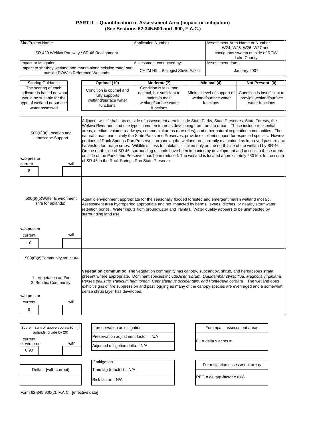| Site/Project Name                                                                                                                                                                                                                                                                                                                                                                                                                                                                                                                                                                   |                                      | <b>Application Number</b>                                                                                                                                                                                                                                                                                                                                                                                                                                                                                                                                                                                                                                                                              |  |                                                      | Assessment Area Name or Number                          |  |  |  |  |
|-------------------------------------------------------------------------------------------------------------------------------------------------------------------------------------------------------------------------------------------------------------------------------------------------------------------------------------------------------------------------------------------------------------------------------------------------------------------------------------------------------------------------------------------------------------------------------------|--------------------------------------|--------------------------------------------------------------------------------------------------------------------------------------------------------------------------------------------------------------------------------------------------------------------------------------------------------------------------------------------------------------------------------------------------------------------------------------------------------------------------------------------------------------------------------------------------------------------------------------------------------------------------------------------------------------------------------------------------------|--|------------------------------------------------------|---------------------------------------------------------|--|--|--|--|
|                                                                                                                                                                                                                                                                                                                                                                                                                                                                                                                                                                                     |                                      |                                                                                                                                                                                                                                                                                                                                                                                                                                                                                                                                                                                                                                                                                                        |  | W24, W25, W26, W27 and                               |                                                         |  |  |  |  |
| SR 429 Wekiva Parkway / SR 46 Realignment                                                                                                                                                                                                                                                                                                                                                                                                                                                                                                                                           |                                      |                                                                                                                                                                                                                                                                                                                                                                                                                                                                                                                                                                                                                                                                                                        |  |                                                      | contiguous swamp outside of ROW<br>Lake County          |  |  |  |  |
| Impact or Mitigation                                                                                                                                                                                                                                                                                                                                                                                                                                                                                                                                                                |                                      | Assessment conducted by:                                                                                                                                                                                                                                                                                                                                                                                                                                                                                                                                                                                                                                                                               |  | Assessment date:                                     |                                                         |  |  |  |  |
| Impact to shrubby wetland and marsh along existing road/ part                                                                                                                                                                                                                                                                                                                                                                                                                                                                                                                       |                                      | CH2M HILL Biologist Steve Eakin                                                                                                                                                                                                                                                                                                                                                                                                                                                                                                                                                                                                                                                                        |  |                                                      | January 2007                                            |  |  |  |  |
| outside ROW is Reference Wetlands                                                                                                                                                                                                                                                                                                                                                                                                                                                                                                                                                   |                                      |                                                                                                                                                                                                                                                                                                                                                                                                                                                                                                                                                                                                                                                                                                        |  |                                                      |                                                         |  |  |  |  |
| <b>Scoring Guidance</b>                                                                                                                                                                                                                                                                                                                                                                                                                                                                                                                                                             | Optimal (10)                         | Moderate(7)                                                                                                                                                                                                                                                                                                                                                                                                                                                                                                                                                                                                                                                                                            |  | Minimal (4)                                          | Not Present (0)                                         |  |  |  |  |
| The scoring of each                                                                                                                                                                                                                                                                                                                                                                                                                                                                                                                                                                 | Condition is optimal and             | Condition is less than                                                                                                                                                                                                                                                                                                                                                                                                                                                                                                                                                                                                                                                                                 |  |                                                      |                                                         |  |  |  |  |
| indicator is based on what<br>would be suitable for the                                                                                                                                                                                                                                                                                                                                                                                                                                                                                                                             | fully supports                       | optimal, but sufficient to<br>maintain most                                                                                                                                                                                                                                                                                                                                                                                                                                                                                                                                                                                                                                                            |  | Minimal level of support of<br>wetland/surface water | Condition is insufficient to<br>provide wetland/surface |  |  |  |  |
| type of wetland or surface                                                                                                                                                                                                                                                                                                                                                                                                                                                                                                                                                          | wetland/surface water                | wetland/surface water                                                                                                                                                                                                                                                                                                                                                                                                                                                                                                                                                                                                                                                                                  |  | functions                                            | water functions                                         |  |  |  |  |
| water assessed                                                                                                                                                                                                                                                                                                                                                                                                                                                                                                                                                                      | functions                            | functions                                                                                                                                                                                                                                                                                                                                                                                                                                                                                                                                                                                                                                                                                              |  |                                                      |                                                         |  |  |  |  |
|                                                                                                                                                                                                                                                                                                                                                                                                                                                                                                                                                                                     |                                      |                                                                                                                                                                                                                                                                                                                                                                                                                                                                                                                                                                                                                                                                                                        |  |                                                      |                                                         |  |  |  |  |
| .500(6)(a) Location and<br>Landscape Support                                                                                                                                                                                                                                                                                                                                                                                                                                                                                                                                        |                                      | Adjacent wildlife habitats outside of assessment area include State Parks, State Preserves, State Forests, the<br>Wekiva River and land use types common to areas developing from rural to urban. These include residential<br>areas, medium volume roadways, commercial areas (nurseries), and other natural vegetation communities. The<br>natural areas, particularly the State Parks and Preserves, provide excellent support for expected species. Howeve<br>portions of Rock Springs Run Preserve surrounding the wetland are currently maintained as improved pasture and<br>harvested for forage crops. Wildlife access to habitats is limited only on the north side of the wetland by SR 46. |  |                                                      |                                                         |  |  |  |  |
|                                                                                                                                                                                                                                                                                                                                                                                                                                                                                                                                                                                     |                                      | On the north side of SR 46, surrounding uplands have been impacted by development and access to these areas                                                                                                                                                                                                                                                                                                                                                                                                                                                                                                                                                                                            |  |                                                      |                                                         |  |  |  |  |
| w/o pres or                                                                                                                                                                                                                                                                                                                                                                                                                                                                                                                                                                         |                                      | outside of the Parks and Preserves has been reduced. The wetland is located approximately 250 feet to the south                                                                                                                                                                                                                                                                                                                                                                                                                                                                                                                                                                                        |  |                                                      |                                                         |  |  |  |  |
| with<br>current                                                                                                                                                                                                                                                                                                                                                                                                                                                                                                                                                                     |                                      | of SR 46 in the Rock Springs Run State Preserve.                                                                                                                                                                                                                                                                                                                                                                                                                                                                                                                                                                                                                                                       |  |                                                      |                                                         |  |  |  |  |
| 8                                                                                                                                                                                                                                                                                                                                                                                                                                                                                                                                                                                   |                                      |                                                                                                                                                                                                                                                                                                                                                                                                                                                                                                                                                                                                                                                                                                        |  |                                                      |                                                         |  |  |  |  |
|                                                                                                                                                                                                                                                                                                                                                                                                                                                                                                                                                                                     |                                      |                                                                                                                                                                                                                                                                                                                                                                                                                                                                                                                                                                                                                                                                                                        |  |                                                      |                                                         |  |  |  |  |
| .500(6)(b)Water Environment<br>(n/a for uplands)                                                                                                                                                                                                                                                                                                                                                                                                                                                                                                                                    | surrounding land use.                | Aquatic environment appropriate for the seasonally flooded forested and emergent marsh wetland mosaic.<br>Assessment area hydroperiod appropriate and not impacted by berms, levees, ditches, or nearby stormwater<br>retention ponds. Water inputs from groundwater and rainfall. Water quality appears to be unimpacted by                                                                                                                                                                                                                                                                                                                                                                           |  |                                                      |                                                         |  |  |  |  |
| w/o pres or                                                                                                                                                                                                                                                                                                                                                                                                                                                                                                                                                                         |                                      |                                                                                                                                                                                                                                                                                                                                                                                                                                                                                                                                                                                                                                                                                                        |  |                                                      |                                                         |  |  |  |  |
| with<br>current                                                                                                                                                                                                                                                                                                                                                                                                                                                                                                                                                                     |                                      |                                                                                                                                                                                                                                                                                                                                                                                                                                                                                                                                                                                                                                                                                                        |  |                                                      |                                                         |  |  |  |  |
| 10                                                                                                                                                                                                                                                                                                                                                                                                                                                                                                                                                                                  |                                      |                                                                                                                                                                                                                                                                                                                                                                                                                                                                                                                                                                                                                                                                                                        |  |                                                      |                                                         |  |  |  |  |
|                                                                                                                                                                                                                                                                                                                                                                                                                                                                                                                                                                                     |                                      |                                                                                                                                                                                                                                                                                                                                                                                                                                                                                                                                                                                                                                                                                                        |  |                                                      |                                                         |  |  |  |  |
| .500(6)(c)Community structure                                                                                                                                                                                                                                                                                                                                                                                                                                                                                                                                                       |                                      |                                                                                                                                                                                                                                                                                                                                                                                                                                                                                                                                                                                                                                                                                                        |  |                                                      |                                                         |  |  |  |  |
| <b>Vegetation community</b> : The vegetation community has canopy, subcanopy, shrub, and herbaceous strata<br>present where appropriate. Dominant species include Acer rubrum, Liquidambar styraciflua, Magnolia virginiana,<br>1. Vegetation and/or<br>Persea palustris, Panicum hemitomon, Cephalanthus occidentalis, and Pontedaria cordata The wetland does<br>2. Benthic Community<br>exhibit signs of fire suppression and past logging as many of the canopy species are even aged and a somewhat<br>dense shrub layer has developed.<br>w/o pres or<br>with<br>current<br>9 |                                      |                                                                                                                                                                                                                                                                                                                                                                                                                                                                                                                                                                                                                                                                                                        |  |                                                      |                                                         |  |  |  |  |
|                                                                                                                                                                                                                                                                                                                                                                                                                                                                                                                                                                                     |                                      |                                                                                                                                                                                                                                                                                                                                                                                                                                                                                                                                                                                                                                                                                                        |  |                                                      |                                                         |  |  |  |  |
| Score = sum of above scores/30 (if                                                                                                                                                                                                                                                                                                                                                                                                                                                                                                                                                  | If preservation as mitigation,       |                                                                                                                                                                                                                                                                                                                                                                                                                                                                                                                                                                                                                                                                                                        |  | For impact assessment areas                          |                                                         |  |  |  |  |
| uplands, divide by 20)                                                                                                                                                                                                                                                                                                                                                                                                                                                                                                                                                              | Preservation adjustment factor = N/A |                                                                                                                                                                                                                                                                                                                                                                                                                                                                                                                                                                                                                                                                                                        |  |                                                      |                                                         |  |  |  |  |
| current<br>with<br>or w/o pres                                                                                                                                                                                                                                                                                                                                                                                                                                                                                                                                                      |                                      |                                                                                                                                                                                                                                                                                                                                                                                                                                                                                                                                                                                                                                                                                                        |  | $FL = delta \times acres =$                          |                                                         |  |  |  |  |
| 0.90                                                                                                                                                                                                                                                                                                                                                                                                                                                                                                                                                                                | Adjusted mitigation delta = $N/A$    |                                                                                                                                                                                                                                                                                                                                                                                                                                                                                                                                                                                                                                                                                                        |  |                                                      |                                                         |  |  |  |  |
|                                                                                                                                                                                                                                                                                                                                                                                                                                                                                                                                                                                     |                                      |                                                                                                                                                                                                                                                                                                                                                                                                                                                                                                                                                                                                                                                                                                        |  |                                                      |                                                         |  |  |  |  |
|                                                                                                                                                                                                                                                                                                                                                                                                                                                                                                                                                                                     | If mitigation                        |                                                                                                                                                                                                                                                                                                                                                                                                                                                                                                                                                                                                                                                                                                        |  |                                                      |                                                         |  |  |  |  |
| $Delta = [with-current]$                                                                                                                                                                                                                                                                                                                                                                                                                                                                                                                                                            | Time lag (t-factor) = $N/A$          |                                                                                                                                                                                                                                                                                                                                                                                                                                                                                                                                                                                                                                                                                                        |  | For mitigation assessment areas                      |                                                         |  |  |  |  |
|                                                                                                                                                                                                                                                                                                                                                                                                                                                                                                                                                                                     |                                      |                                                                                                                                                                                                                                                                                                                                                                                                                                                                                                                                                                                                                                                                                                        |  |                                                      |                                                         |  |  |  |  |
|                                                                                                                                                                                                                                                                                                                                                                                                                                                                                                                                                                                     | Risk factor = N/A                    |                                                                                                                                                                                                                                                                                                                                                                                                                                                                                                                                                                                                                                                                                                        |  | RFG = delta/(t-factor x risk)                        |                                                         |  |  |  |  |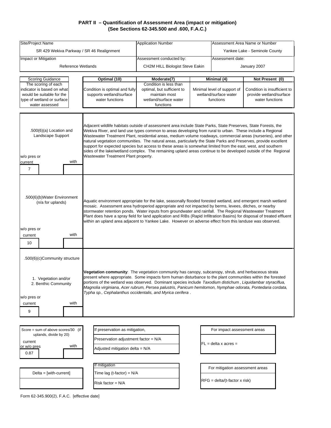| Site/Project Name                                                                                                                                                                                                                                                                                                                                                                                                                                                                                                                                                                                    |                                                                         | <b>Application Number</b>                                                                                                                                                                                                                                                                                                                                                                                                                                                                                                                                                                                                                                                                           |                  | Assessment Area Name or Number       |                              |  |  |
|------------------------------------------------------------------------------------------------------------------------------------------------------------------------------------------------------------------------------------------------------------------------------------------------------------------------------------------------------------------------------------------------------------------------------------------------------------------------------------------------------------------------------------------------------------------------------------------------------|-------------------------------------------------------------------------|-----------------------------------------------------------------------------------------------------------------------------------------------------------------------------------------------------------------------------------------------------------------------------------------------------------------------------------------------------------------------------------------------------------------------------------------------------------------------------------------------------------------------------------------------------------------------------------------------------------------------------------------------------------------------------------------------------|------------------|--------------------------------------|------------------------------|--|--|
| SR 429 Wekiva Parkway / SR 46 Realignment                                                                                                                                                                                                                                                                                                                                                                                                                                                                                                                                                            |                                                                         |                                                                                                                                                                                                                                                                                                                                                                                                                                                                                                                                                                                                                                                                                                     |                  | Yankee Lake - Seminole County        |                              |  |  |
| Impact or Mitigation                                                                                                                                                                                                                                                                                                                                                                                                                                                                                                                                                                                 |                                                                         | Assessment conducted by:                                                                                                                                                                                                                                                                                                                                                                                                                                                                                                                                                                                                                                                                            | Assessment date: |                                      |                              |  |  |
| <b>Reference Wetlands</b>                                                                                                                                                                                                                                                                                                                                                                                                                                                                                                                                                                            |                                                                         | CH2M HILL Biologist Steve Eakin                                                                                                                                                                                                                                                                                                                                                                                                                                                                                                                                                                                                                                                                     | January 2007     |                                      |                              |  |  |
|                                                                                                                                                                                                                                                                                                                                                                                                                                                                                                                                                                                                      |                                                                         |                                                                                                                                                                                                                                                                                                                                                                                                                                                                                                                                                                                                                                                                                                     |                  |                                      |                              |  |  |
| <b>Scoring Guidance</b><br>The scoring of each                                                                                                                                                                                                                                                                                                                                                                                                                                                                                                                                                       | Optimal (10)                                                            | Moderate(7)<br>Condition is less than                                                                                                                                                                                                                                                                                                                                                                                                                                                                                                                                                                                                                                                               |                  | Minimal (4)                          | Not Present (0)              |  |  |
| indicator is based on what                                                                                                                                                                                                                                                                                                                                                                                                                                                                                                                                                                           | Condition is optimal and fully                                          | optimal, but sufficient to                                                                                                                                                                                                                                                                                                                                                                                                                                                                                                                                                                                                                                                                          |                  | Minimal level of support of          | Condition is insufficient to |  |  |
| would be suitable for the                                                                                                                                                                                                                                                                                                                                                                                                                                                                                                                                                                            | supports wetland/surface                                                | maintain most                                                                                                                                                                                                                                                                                                                                                                                                                                                                                                                                                                                                                                                                                       |                  | wetland/surface water                | provide wetland/surface      |  |  |
| type of wetland or surface                                                                                                                                                                                                                                                                                                                                                                                                                                                                                                                                                                           | water functions                                                         | wetland/surface water                                                                                                                                                                                                                                                                                                                                                                                                                                                                                                                                                                                                                                                                               |                  | functions                            | water functions              |  |  |
| water assessed                                                                                                                                                                                                                                                                                                                                                                                                                                                                                                                                                                                       |                                                                         | functions                                                                                                                                                                                                                                                                                                                                                                                                                                                                                                                                                                                                                                                                                           |                  |                                      |                              |  |  |
| .500(6)(a) Location and<br>Landscape Support<br>w/o pres or<br>with<br>current                                                                                                                                                                                                                                                                                                                                                                                                                                                                                                                       | Wastewater Treatment Plant property.                                    | Adjacent wildlife habitats outside of assessment area include State Parks, State Preserves, State Forests, the<br>Wekiva River, and land use types common to areas developing from rural to urban. These include a Regional<br>Wastewater Treatment Plant, residential areas, medium volume roadways, commercial areas (nurseries), and other<br>natural vegetation communities. The natural areas, particularly the State Parks and Preserves, provide excellent<br>support for expected species but access to these areas is somewhat limited from the east, west, and southern<br>sides of the lake/wetland complex. The remaining upland areas continue to be developed outside of the Regional |                  |                                      |                              |  |  |
| $\overline{7}$                                                                                                                                                                                                                                                                                                                                                                                                                                                                                                                                                                                       |                                                                         |                                                                                                                                                                                                                                                                                                                                                                                                                                                                                                                                                                                                                                                                                                     |                  |                                      |                              |  |  |
| .500(6)(b)Water Environment<br>(n/a for uplands)<br>w/o pres or<br>with<br>current<br>10                                                                                                                                                                                                                                                                                                                                                                                                                                                                                                             |                                                                         | Aquatic environment appropriate for the lake, seasonally flooded forested wetland, and emergent marsh wetland<br>mosaic. Assessment area hydroperiod appropriate and not impacted by berms, levees, ditches, or nearby<br>stormwater retention ponds. Water inputs from groundwater and rainfall. The Regional Wastewater Treatment<br>Plant does have a spray field for land application and RIBs (Rapid Infiltration Basins) for disposal of treated effluent<br>within an upland area adjacent to Yankee Lake. However on adverse effect from this landuse was observed.                                                                                                                         |                  |                                      |                              |  |  |
| .500(6)(c)Community structure                                                                                                                                                                                                                                                                                                                                                                                                                                                                                                                                                                        |                                                                         |                                                                                                                                                                                                                                                                                                                                                                                                                                                                                                                                                                                                                                                                                                     |                  |                                      |                              |  |  |
| Vegetation community: The vegetation community has canopy, subcanopy, shrub, and herbaceous strata<br>present where appropriate. Some impacts form human disturbance to the plant communities within the forested<br>1. Vegetation and/or<br>portions of the wetland was observed. Dominant species include Taxodium distichum, Liquidambar styraciflua,<br>2. Benthic Community<br>Magnolia virginiana, Acer rubrum, Persea palustris, Panicum hemitomon, Nymphae odorata, Pontedaria cordata,<br>Typha sp., Cephalanthus occidentalis, and Myrica cerifera.<br>w/o pres or<br>with<br>current<br>9 |                                                                         |                                                                                                                                                                                                                                                                                                                                                                                                                                                                                                                                                                                                                                                                                                     |                  |                                      |                              |  |  |
|                                                                                                                                                                                                                                                                                                                                                                                                                                                                                                                                                                                                      |                                                                         |                                                                                                                                                                                                                                                                                                                                                                                                                                                                                                                                                                                                                                                                                                     |                  |                                      |                              |  |  |
| Score = sum of above scores/30 (if                                                                                                                                                                                                                                                                                                                                                                                                                                                                                                                                                                   | If preservation as mitigation,                                          |                                                                                                                                                                                                                                                                                                                                                                                                                                                                                                                                                                                                                                                                                                     |                  | For impact assessment areas          |                              |  |  |
| uplands, divide by 20)<br>current<br>with<br>or w/o pres<br>0.87                                                                                                                                                                                                                                                                                                                                                                                                                                                                                                                                     | Preservation adjustment factor = N/A<br>Adjusted mitigation delta = N/A |                                                                                                                                                                                                                                                                                                                                                                                                                                                                                                                                                                                                                                                                                                     |                  | $FL = delta \times acres =$          |                              |  |  |
|                                                                                                                                                                                                                                                                                                                                                                                                                                                                                                                                                                                                      |                                                                         |                                                                                                                                                                                                                                                                                                                                                                                                                                                                                                                                                                                                                                                                                                     |                  |                                      |                              |  |  |
|                                                                                                                                                                                                                                                                                                                                                                                                                                                                                                                                                                                                      | If mitigation                                                           |                                                                                                                                                                                                                                                                                                                                                                                                                                                                                                                                                                                                                                                                                                     |                  | For mitigation assessment areas      |                              |  |  |
| $Delta = [with-current]$                                                                                                                                                                                                                                                                                                                                                                                                                                                                                                                                                                             | Time lag (t-factor) = N/A                                               |                                                                                                                                                                                                                                                                                                                                                                                                                                                                                                                                                                                                                                                                                                     |                  |                                      |                              |  |  |
|                                                                                                                                                                                                                                                                                                                                                                                                                                                                                                                                                                                                      | Risk factor = N/A                                                       |                                                                                                                                                                                                                                                                                                                                                                                                                                                                                                                                                                                                                                                                                                     |                  | $RFG = delta/(t-factor \times risk)$ |                              |  |  |
|                                                                                                                                                                                                                                                                                                                                                                                                                                                                                                                                                                                                      |                                                                         |                                                                                                                                                                                                                                                                                                                                                                                                                                                                                                                                                                                                                                                                                                     |                  |                                      |                              |  |  |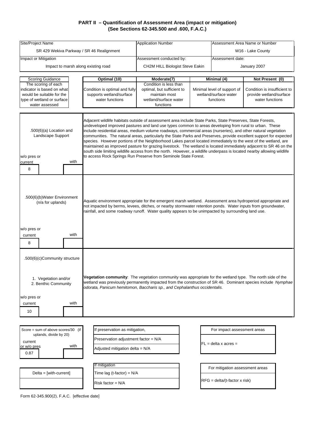| Site/Project Name                                                                                                                         |                                                            | <b>Application Number</b>                                                                                                                                                                                                                                                                                                                                                                                                                                                                                                                                                                                                                                                                                                                                                                                                                                                                                                                                                                                                                                                                                                     |  |                                                      | Assessment Area Name or Number                          |  |
|-------------------------------------------------------------------------------------------------------------------------------------------|------------------------------------------------------------|-------------------------------------------------------------------------------------------------------------------------------------------------------------------------------------------------------------------------------------------------------------------------------------------------------------------------------------------------------------------------------------------------------------------------------------------------------------------------------------------------------------------------------------------------------------------------------------------------------------------------------------------------------------------------------------------------------------------------------------------------------------------------------------------------------------------------------------------------------------------------------------------------------------------------------------------------------------------------------------------------------------------------------------------------------------------------------------------------------------------------------|--|------------------------------------------------------|---------------------------------------------------------|--|
| SR 429 Wekiva Parkway / SR 46 Realignment                                                                                                 |                                                            |                                                                                                                                                                                                                                                                                                                                                                                                                                                                                                                                                                                                                                                                                                                                                                                                                                                                                                                                                                                                                                                                                                                               |  | W16 - Lake County                                    |                                                         |  |
| Impact or Mitigation                                                                                                                      |                                                            | Assessment conducted by:                                                                                                                                                                                                                                                                                                                                                                                                                                                                                                                                                                                                                                                                                                                                                                                                                                                                                                                                                                                                                                                                                                      |  | Assessment date:                                     |                                                         |  |
| Impact to marsh along existing road                                                                                                       |                                                            | CH2M HILL Biologist Steve Eakin                                                                                                                                                                                                                                                                                                                                                                                                                                                                                                                                                                                                                                                                                                                                                                                                                                                                                                                                                                                                                                                                                               |  |                                                      | January 2007                                            |  |
|                                                                                                                                           |                                                            |                                                                                                                                                                                                                                                                                                                                                                                                                                                                                                                                                                                                                                                                                                                                                                                                                                                                                                                                                                                                                                                                                                                               |  |                                                      |                                                         |  |
| Scoring Guidance                                                                                                                          | Optimal (10)                                               | Moderate(7)                                                                                                                                                                                                                                                                                                                                                                                                                                                                                                                                                                                                                                                                                                                                                                                                                                                                                                                                                                                                                                                                                                                   |  | Minimal (4)                                          | Not Present (0)                                         |  |
| The scoring of each                                                                                                                       |                                                            | Condition is less than                                                                                                                                                                                                                                                                                                                                                                                                                                                                                                                                                                                                                                                                                                                                                                                                                                                                                                                                                                                                                                                                                                        |  |                                                      |                                                         |  |
| indicator is based on what<br>would be suitable for the                                                                                   | Condition is optimal and fully<br>supports wetland/surface | optimal, but sufficient to<br>maintain most                                                                                                                                                                                                                                                                                                                                                                                                                                                                                                                                                                                                                                                                                                                                                                                                                                                                                                                                                                                                                                                                                   |  | Minimal level of support of<br>wetland/surface water | Condition is insufficient to<br>provide wetland/surface |  |
| type of wetland or surface                                                                                                                | water functions                                            | wetland/surface water                                                                                                                                                                                                                                                                                                                                                                                                                                                                                                                                                                                                                                                                                                                                                                                                                                                                                                                                                                                                                                                                                                         |  | functions                                            | water functions                                         |  |
| water assessed                                                                                                                            |                                                            | functions                                                                                                                                                                                                                                                                                                                                                                                                                                                                                                                                                                                                                                                                                                                                                                                                                                                                                                                                                                                                                                                                                                                     |  |                                                      |                                                         |  |
| $.500(6)(a)$ Location and<br>Landscape Support<br>w/o pres or<br>with<br>current<br>8<br>.500(6)(b)Water Environment<br>(n/a for uplands) |                                                            | Adjacent wildlife habitats outside of assessment area include State Parks, State Preserves, State Forests,<br>undeveloped improved pastures and land use types common to areas developing from rural to urban. These<br>include residential areas, medium volume roadways, commercial areas (nurseries), and other natural vegetation<br>communities. The natural areas, particularly the State Parks and Preserves, provide excellent support for expected<br>species. However portions of the Neighborhood Lakes parcel located immediately to the west of the wetland, are<br>maintained as improved pasture for grazing livestock. The wetland is located immediately adjacent to SR 46 on the<br>south side limiting wildlife access from the north. However, a wildlife underpass is located nearby allowing wildlife<br>to access Rock Springs Run Preserve from Seminole State Forest.<br>Aquatic environment appropriate for the emergent marsh wetland. Assessment area hydroperiod appropriate and<br>not impacted by berms, levees, ditches, or nearby stormwater retention ponds. Water inputs from groundwater, |  |                                                      |                                                         |  |
| w/o pres or<br>with<br>current<br>8                                                                                                       |                                                            | rainfall, and some roadway runoff. Water quality appears to be unimpacted by surrounding land use.                                                                                                                                                                                                                                                                                                                                                                                                                                                                                                                                                                                                                                                                                                                                                                                                                                                                                                                                                                                                                            |  |                                                      |                                                         |  |
| .500(6)(c)Community structure<br>1. Vegetation and/or<br>2. Benthic Community<br>w/o pres or<br>with<br>current                           |                                                            | Vegetation community: The vegetation community was appropriate for the wetland type. The north side of the<br>wetland was previously permanently impacted from the construction of SR 46. Dominant species include Nymphae<br>odorata, Panicum hemitomon, Baccharis sp., and Cephalanthus occidentalis.                                                                                                                                                                                                                                                                                                                                                                                                                                                                                                                                                                                                                                                                                                                                                                                                                       |  |                                                      |                                                         |  |
| 10                                                                                                                                        |                                                            |                                                                                                                                                                                                                                                                                                                                                                                                                                                                                                                                                                                                                                                                                                                                                                                                                                                                                                                                                                                                                                                                                                                               |  |                                                      |                                                         |  |
|                                                                                                                                           |                                                            |                                                                                                                                                                                                                                                                                                                                                                                                                                                                                                                                                                                                                                                                                                                                                                                                                                                                                                                                                                                                                                                                                                                               |  |                                                      |                                                         |  |
|                                                                                                                                           |                                                            |                                                                                                                                                                                                                                                                                                                                                                                                                                                                                                                                                                                                                                                                                                                                                                                                                                                                                                                                                                                                                                                                                                                               |  |                                                      |                                                         |  |
| Score = sum of above scores/30 (if                                                                                                        | If preservation as mitigation,                             |                                                                                                                                                                                                                                                                                                                                                                                                                                                                                                                                                                                                                                                                                                                                                                                                                                                                                                                                                                                                                                                                                                                               |  | For impact assessment areas                          |                                                         |  |
| uplands, divide by 20)                                                                                                                    | Preservation adjustment factor = N/A                       |                                                                                                                                                                                                                                                                                                                                                                                                                                                                                                                                                                                                                                                                                                                                                                                                                                                                                                                                                                                                                                                                                                                               |  |                                                      |                                                         |  |
| current<br>with<br>or w/o pres                                                                                                            | Adjusted mitigation delta = N/A                            |                                                                                                                                                                                                                                                                                                                                                                                                                                                                                                                                                                                                                                                                                                                                                                                                                                                                                                                                                                                                                                                                                                                               |  | $FL = delta \times acres =$                          |                                                         |  |
| 0.87                                                                                                                                      |                                                            |                                                                                                                                                                                                                                                                                                                                                                                                                                                                                                                                                                                                                                                                                                                                                                                                                                                                                                                                                                                                                                                                                                                               |  |                                                      |                                                         |  |
|                                                                                                                                           |                                                            |                                                                                                                                                                                                                                                                                                                                                                                                                                                                                                                                                                                                                                                                                                                                                                                                                                                                                                                                                                                                                                                                                                                               |  |                                                      |                                                         |  |
|                                                                                                                                           | If mitigation                                              |                                                                                                                                                                                                                                                                                                                                                                                                                                                                                                                                                                                                                                                                                                                                                                                                                                                                                                                                                                                                                                                                                                                               |  | For mitigation assessment areas                      |                                                         |  |
| $Delta = [with-current]$                                                                                                                  | Time lag (t-factor) = $N/A$                                |                                                                                                                                                                                                                                                                                                                                                                                                                                                                                                                                                                                                                                                                                                                                                                                                                                                                                                                                                                                                                                                                                                                               |  |                                                      |                                                         |  |
|                                                                                                                                           | Risk factor = N/A                                          |                                                                                                                                                                                                                                                                                                                                                                                                                                                                                                                                                                                                                                                                                                                                                                                                                                                                                                                                                                                                                                                                                                                               |  | $RFG = delta/(t-factor \times risk)$                 |                                                         |  |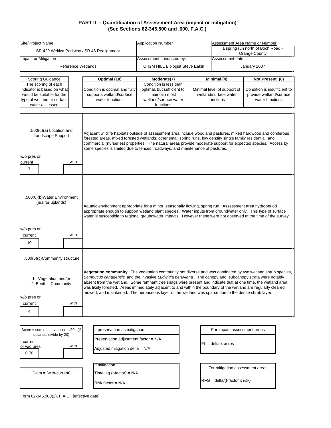| Site/Project Name                                                                                                              |                                                                                                           | <b>Application Number</b>                                                                                                                                                                                                                                                                                                                                                                                                                                                                                                                                       |  | Assessment Area Name or Number                                                                                                                  |                 |  |
|--------------------------------------------------------------------------------------------------------------------------------|-----------------------------------------------------------------------------------------------------------|-----------------------------------------------------------------------------------------------------------------------------------------------------------------------------------------------------------------------------------------------------------------------------------------------------------------------------------------------------------------------------------------------------------------------------------------------------------------------------------------------------------------------------------------------------------------|--|-------------------------------------------------------------------------------------------------------------------------------------------------|-----------------|--|
| SR 429 Wekiva Parkway / SR 46 Realignment                                                                                      |                                                                                                           |                                                                                                                                                                                                                                                                                                                                                                                                                                                                                                                                                                 |  | a spring run north of Boch Road -<br>Orange County                                                                                              |                 |  |
| Impact or Mitigation                                                                                                           |                                                                                                           | Assessment conducted by:                                                                                                                                                                                                                                                                                                                                                                                                                                                                                                                                        |  | Assessment date:                                                                                                                                |                 |  |
| <b>Reference Wetlands</b>                                                                                                      |                                                                                                           | CH2M HILL Biologist Steve Eakin                                                                                                                                                                                                                                                                                                                                                                                                                                                                                                                                 |  | January 2007                                                                                                                                    |                 |  |
| <b>Scoring Guidance</b>                                                                                                        | Optimal (10)                                                                                              | Moderate(7)                                                                                                                                                                                                                                                                                                                                                                                                                                                                                                                                                     |  | Minimal (4)                                                                                                                                     | Not Present (0) |  |
| The scoring of each<br>indicator is based on what<br>would be suitable for the<br>type of wetland or surface<br>water assessed | Condition is optimal and fully<br>supports wetland/surface<br>water functions                             | Condition is less than<br>optimal, but sufficient to<br>maintain most<br>wetland/surface water<br>functions                                                                                                                                                                                                                                                                                                                                                                                                                                                     |  | Minimal level of support of<br>Condition is insufficient to<br>wetland/surface water<br>provide wetland/surface<br>functions<br>water functions |                 |  |
|                                                                                                                                |                                                                                                           |                                                                                                                                                                                                                                                                                                                                                                                                                                                                                                                                                                 |  |                                                                                                                                                 |                 |  |
| $.500(6)(a)$ Location and<br>Landscape Support<br>w/o pres or<br>with<br>current<br>$\overline{7}$                             |                                                                                                           | Adjacent wildlife habitats outside of assessment area include woodland pastures, mixed hardwood and coniferous<br>forested areas, mixed forested wetlands, other small spring runs, low density single family residential, and<br>commercial (nurseries) properties. The natural areas provide moderate support for expected species. Access by<br>some species is limited due to fences, roadways, and maintenance of pastures.                                                                                                                                |  |                                                                                                                                                 |                 |  |
| .500(6)(b)Water Environment<br>(n/a for uplands)<br>w/o pres or<br>with<br>current<br>10                                       |                                                                                                           | Aquatic environment appropriate for a minor, seasonally flowing, spring run. Assessment area hydroperiod<br>appropriate enough to support wetland plant species. Water inputs from groundwater only. This type of surface<br>water is susceptible to regional groundwater impacts. However these were not observed at the time of the survey.                                                                                                                                                                                                                   |  |                                                                                                                                                 |                 |  |
| .500(6)(c)Community structure                                                                                                  |                                                                                                           |                                                                                                                                                                                                                                                                                                                                                                                                                                                                                                                                                                 |  |                                                                                                                                                 |                 |  |
| 1. Vegetation and/or<br>2. Benthic Community<br>w/o pres or<br>with<br>current<br>4                                            |                                                                                                           | Vegetation community: The vegetation community not diverse and was dominated by two wetland shrub species,<br>Sambucus canadensis and the invasive Ludwigia peruviana. The canopy and subcanopy strata were notably<br>absent from the wetland. Some remnant tree snags were present and indicate that at one time, the wetland area<br>was likely forested. Areas immediately adjacent to and within the boundary of the wetland are regularly cleared,<br>mowed, and maintained. The herbaceous layer of the wetland was sparse due to the dense shrub layer. |  |                                                                                                                                                 |                 |  |
|                                                                                                                                |                                                                                                           |                                                                                                                                                                                                                                                                                                                                                                                                                                                                                                                                                                 |  |                                                                                                                                                 |                 |  |
| Score = sum of above scores/30 (if<br>uplands, divide by 20)<br>current<br>with<br>or w/o pres<br>0.70                         | If preservation as mitigation,<br>Preservation adjustment factor = N/A<br>Adjusted mitigation delta = N/A |                                                                                                                                                                                                                                                                                                                                                                                                                                                                                                                                                                 |  | For impact assessment areas<br>$FL = delta \times acres =$                                                                                      |                 |  |
| $Delta = [with-current]$                                                                                                       | If mitigation<br>Time lag (t-factor) = $N/A$                                                              |                                                                                                                                                                                                                                                                                                                                                                                                                                                                                                                                                                 |  | For mitigation assessment areas                                                                                                                 |                 |  |
|                                                                                                                                | Risk factor = N/A                                                                                         |                                                                                                                                                                                                                                                                                                                                                                                                                                                                                                                                                                 |  | $RFG = delta/(t-factor \times risk)$                                                                                                            |                 |  |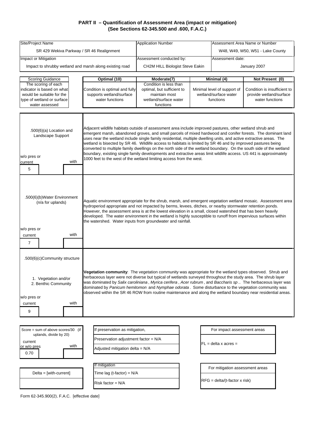| Site/Project Name                                                                                                                                                                                                                                                                                                                                                                                                                                                                                                                                                                                                                                        |                                      | <b>Application Number</b>                                                                                                                                                                                                                                                                                                                                                                                                                                                                                                                                                                                                                                                                                                                                                        |                              |                                  | Assessment Area Name or Number |                              |  |  |
|----------------------------------------------------------------------------------------------------------------------------------------------------------------------------------------------------------------------------------------------------------------------------------------------------------------------------------------------------------------------------------------------------------------------------------------------------------------------------------------------------------------------------------------------------------------------------------------------------------------------------------------------------------|--------------------------------------|----------------------------------------------------------------------------------------------------------------------------------------------------------------------------------------------------------------------------------------------------------------------------------------------------------------------------------------------------------------------------------------------------------------------------------------------------------------------------------------------------------------------------------------------------------------------------------------------------------------------------------------------------------------------------------------------------------------------------------------------------------------------------------|------------------------------|----------------------------------|--------------------------------|------------------------------|--|--|
| SR 429 Wekiva Parkway / SR 46 Realignment                                                                                                                                                                                                                                                                                                                                                                                                                                                                                                                                                                                                                |                                      |                                                                                                                                                                                                                                                                                                                                                                                                                                                                                                                                                                                                                                                                                                                                                                                  |                              | W48, W49, W50, W51 - Lake County |                                |                              |  |  |
| Impact or Mitigation                                                                                                                                                                                                                                                                                                                                                                                                                                                                                                                                                                                                                                     |                                      | Assessment conducted by:                                                                                                                                                                                                                                                                                                                                                                                                                                                                                                                                                                                                                                                                                                                                                         | Assessment date:             |                                  |                                |                              |  |  |
| Impact to shrubby wetland and marsh along existing road                                                                                                                                                                                                                                                                                                                                                                                                                                                                                                                                                                                                  |                                      | CH2M HILL Biologist Steve Eakin                                                                                                                                                                                                                                                                                                                                                                                                                                                                                                                                                                                                                                                                                                                                                  |                              |                                  | January 2007                   |                              |  |  |
|                                                                                                                                                                                                                                                                                                                                                                                                                                                                                                                                                                                                                                                          |                                      |                                                                                                                                                                                                                                                                                                                                                                                                                                                                                                                                                                                                                                                                                                                                                                                  |                              |                                  |                                |                              |  |  |
| Scoring Guidance                                                                                                                                                                                                                                                                                                                                                                                                                                                                                                                                                                                                                                         | Optimal (10)                         | Moderate(7)                                                                                                                                                                                                                                                                                                                                                                                                                                                                                                                                                                                                                                                                                                                                                                      |                              | Minimal (4)                      | Not Present (0)                |                              |  |  |
| The scoring of each<br>indicator is based on what                                                                                                                                                                                                                                                                                                                                                                                                                                                                                                                                                                                                        | Condition is optimal and fully       | Condition is less than<br>optimal, but sufficient to                                                                                                                                                                                                                                                                                                                                                                                                                                                                                                                                                                                                                                                                                                                             |                              | Minimal level of support of      |                                | Condition is insufficient to |  |  |
| would be suitable for the                                                                                                                                                                                                                                                                                                                                                                                                                                                                                                                                                                                                                                | supports wetland/surface             | maintain most                                                                                                                                                                                                                                                                                                                                                                                                                                                                                                                                                                                                                                                                                                                                                                    |                              | wetland/surface water            | provide wetland/surface        |                              |  |  |
| type of wetland or surface<br>water assessed                                                                                                                                                                                                                                                                                                                                                                                                                                                                                                                                                                                                             | water functions                      | wetland/surface water<br>functions                                                                                                                                                                                                                                                                                                                                                                                                                                                                                                                                                                                                                                                                                                                                               | functions<br>water functions |                                  |                                |                              |  |  |
|                                                                                                                                                                                                                                                                                                                                                                                                                                                                                                                                                                                                                                                          |                                      |                                                                                                                                                                                                                                                                                                                                                                                                                                                                                                                                                                                                                                                                                                                                                                                  |                              |                                  |                                |                              |  |  |
| $.500(6)(a)$ Location and<br>Landscape Support<br>w/o pres or<br>with<br>current                                                                                                                                                                                                                                                                                                                                                                                                                                                                                                                                                                         |                                      | Adjacent wildlife habitats outside of assessment area include improved pastures, other wetland shrub and<br>emergent marsh, abandoned groves, and small parcels of mixed hardwood and conifer forests. The dominant land<br>uses near the wetland include single family residential, multiple dwelling units, and active extractive areas. The<br>wetland is bisected by SR 46. Wildlife access to habitats is limited by SR 46 and by improved pastures being<br>converted to multiple family dwellings on the north side of the wetland boundary. On the south side of the wetland<br>boundary, existing single family developments and extractive areas limit wildlife access. US 441 is approximately<br>1000 feet to the west of the wetland limiting access from the west. |                              |                                  |                                |                              |  |  |
| 5                                                                                                                                                                                                                                                                                                                                                                                                                                                                                                                                                                                                                                                        |                                      |                                                                                                                                                                                                                                                                                                                                                                                                                                                                                                                                                                                                                                                                                                                                                                                  |                              |                                  |                                |                              |  |  |
| .500(6)(b)Water Environment<br>(n/a for uplands)<br>w/o pres or<br>with<br>current<br>7                                                                                                                                                                                                                                                                                                                                                                                                                                                                                                                                                                  |                                      | Aquatic environment appropriate for the shrub, marsh, and emergent vegetation wetland mosaic. Assessment area<br>hydroperiod appropriate and not impacted by berms, levees, ditches, or nearby stormwater retention ponds.<br>However, the assessment area is at the lowest elevation in a small, closed watershed that has been heavily<br>developed. The water environment in the wetland is highly susceptible to runoff from impervious surfaces within<br>the watershed. Water inputs from groundwater and rainfall.                                                                                                                                                                                                                                                        |                              |                                  |                                |                              |  |  |
| .500(6)(c)Community structure                                                                                                                                                                                                                                                                                                                                                                                                                                                                                                                                                                                                                            |                                      |                                                                                                                                                                                                                                                                                                                                                                                                                                                                                                                                                                                                                                                                                                                                                                                  |                              |                                  |                                |                              |  |  |
| Vegetation community: The vegetation community was appropriate for the wetland types observed. Shrub and<br>herbaceous layer were not diverse but typical of wetlands surveyed throughout the study area. The shrub layer<br>1. Vegetation and/or<br>was dominated by Salix caroliniana, Myrica cerifera, Acer rubrum, and Baccharis sp The herbaceous layer was<br>2. Benthic Community<br>dominated by Panicum hemitomon and Nymphae odorata. Some disturbance to the vegetation community was<br>observed within the SR 46 ROW from routine maintenance and along the wetland boundary near residential areas.<br>w/o pres or<br>with<br>current<br>9 |                                      |                                                                                                                                                                                                                                                                                                                                                                                                                                                                                                                                                                                                                                                                                                                                                                                  |                              |                                  |                                |                              |  |  |
|                                                                                                                                                                                                                                                                                                                                                                                                                                                                                                                                                                                                                                                          |                                      |                                                                                                                                                                                                                                                                                                                                                                                                                                                                                                                                                                                                                                                                                                                                                                                  |                              |                                  |                                |                              |  |  |
| Score = sum of above scores/30 (if                                                                                                                                                                                                                                                                                                                                                                                                                                                                                                                                                                                                                       | If preservation as mitigation,       |                                                                                                                                                                                                                                                                                                                                                                                                                                                                                                                                                                                                                                                                                                                                                                                  |                              | For impact assessment areas      |                                |                              |  |  |
| uplands, divide by 20)                                                                                                                                                                                                                                                                                                                                                                                                                                                                                                                                                                                                                                   | Preservation adjustment factor = N/A |                                                                                                                                                                                                                                                                                                                                                                                                                                                                                                                                                                                                                                                                                                                                                                                  |                              |                                  |                                |                              |  |  |
| current<br>with<br>or w/o pres                                                                                                                                                                                                                                                                                                                                                                                                                                                                                                                                                                                                                           | Adjusted mitigation delta = N/A      |                                                                                                                                                                                                                                                                                                                                                                                                                                                                                                                                                                                                                                                                                                                                                                                  |                              | $FL = delta \times acres =$      |                                |                              |  |  |
| 0.70                                                                                                                                                                                                                                                                                                                                                                                                                                                                                                                                                                                                                                                     |                                      |                                                                                                                                                                                                                                                                                                                                                                                                                                                                                                                                                                                                                                                                                                                                                                                  |                              |                                  |                                |                              |  |  |
|                                                                                                                                                                                                                                                                                                                                                                                                                                                                                                                                                                                                                                                          |                                      |                                                                                                                                                                                                                                                                                                                                                                                                                                                                                                                                                                                                                                                                                                                                                                                  |                              |                                  |                                |                              |  |  |
|                                                                                                                                                                                                                                                                                                                                                                                                                                                                                                                                                                                                                                                          | If mitigation                        |                                                                                                                                                                                                                                                                                                                                                                                                                                                                                                                                                                                                                                                                                                                                                                                  |                              | For mitigation assessment areas  |                                |                              |  |  |
| $Delta = [with-current]$                                                                                                                                                                                                                                                                                                                                                                                                                                                                                                                                                                                                                                 | Time lag (t-factor) = N/A            |                                                                                                                                                                                                                                                                                                                                                                                                                                                                                                                                                                                                                                                                                                                                                                                  |                              |                                  |                                |                              |  |  |
|                                                                                                                                                                                                                                                                                                                                                                                                                                                                                                                                                                                                                                                          | Risk factor = N/A                    |                                                                                                                                                                                                                                                                                                                                                                                                                                                                                                                                                                                                                                                                                                                                                                                  |                              | $RFG = delta/(t-factor x risk)$  |                                |                              |  |  |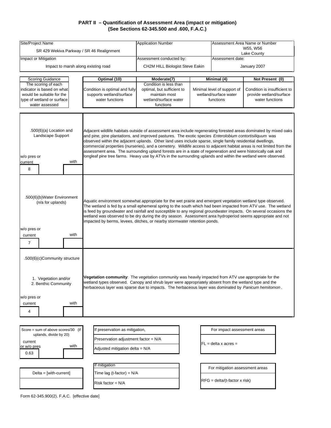| Site/Project Name                                                                                    |                                      | <b>Application Number</b>                                                                                                                                                                                                                                                                                                                                                                                                                                                                                                                                                                                                                                                                          | Assessment Area Name or Number |                                      |                              |  |
|------------------------------------------------------------------------------------------------------|--------------------------------------|----------------------------------------------------------------------------------------------------------------------------------------------------------------------------------------------------------------------------------------------------------------------------------------------------------------------------------------------------------------------------------------------------------------------------------------------------------------------------------------------------------------------------------------------------------------------------------------------------------------------------------------------------------------------------------------------------|--------------------------------|--------------------------------------|------------------------------|--|
| SR 429 Wekiva Parkway / SR 46 Realignment                                                            |                                      |                                                                                                                                                                                                                                                                                                                                                                                                                                                                                                                                                                                                                                                                                                    |                                | W55, W56<br>Lake County              |                              |  |
| Impact or Mitigation                                                                                 |                                      | Assessment conducted by:                                                                                                                                                                                                                                                                                                                                                                                                                                                                                                                                                                                                                                                                           |                                | Assessment date:                     |                              |  |
| Impact to marsh along existing road                                                                  |                                      | CH2M HILL Biologist Steve Eakin                                                                                                                                                                                                                                                                                                                                                                                                                                                                                                                                                                                                                                                                    |                                |                                      | January 2007                 |  |
|                                                                                                      |                                      |                                                                                                                                                                                                                                                                                                                                                                                                                                                                                                                                                                                                                                                                                                    |                                |                                      |                              |  |
| Scoring Guidance                                                                                     | Optimal (10)                         | Moderate(7)                                                                                                                                                                                                                                                                                                                                                                                                                                                                                                                                                                                                                                                                                        |                                | Minimal (4)                          | Not Present (0)              |  |
| The scoring of each<br>indicator is based on what                                                    | Condition is optimal and fully       | Condition is less than<br>optimal, but sufficient to                                                                                                                                                                                                                                                                                                                                                                                                                                                                                                                                                                                                                                               | Minimal level of support of    |                                      | Condition is insufficient to |  |
| would be suitable for the                                                                            | supports wetland/surface             | maintain most                                                                                                                                                                                                                                                                                                                                                                                                                                                                                                                                                                                                                                                                                      |                                | wetland/surface water                | provide wetland/surface      |  |
| type of wetland or surface<br>water assessed                                                         | water functions                      | wetland/surface water<br>functions                                                                                                                                                                                                                                                                                                                                                                                                                                                                                                                                                                                                                                                                 | functions                      |                                      | water functions              |  |
|                                                                                                      |                                      |                                                                                                                                                                                                                                                                                                                                                                                                                                                                                                                                                                                                                                                                                                    |                                |                                      |                              |  |
| $.500(6)(a)$ Location and<br>Landscape Support<br>w/o pres or<br>with<br>current<br>8                |                                      | Adjacent wildlife habitats outside of assessment area include regenerating forested areas dominated by mixed oaks<br>and pine, pine plantations, and improved pastures. The exotic species Enterolobium contortisiliquum was<br>observed within the adjacent uplands. Other land uses include sparse, single family residential dwellings,<br>commercial properties (nurseries), and a cemetery. Wildlife access to adjacent habitat areas is not limited from the<br>assessment area. The surrounding upland forests are in a state of regeneration and were historically oak and<br>longleaf pine tree farms. Heavy use by ATVs in the surrounding uplands and within the wetland were observed. |                                |                                      |                              |  |
|                                                                                                      |                                      |                                                                                                                                                                                                                                                                                                                                                                                                                                                                                                                                                                                                                                                                                                    |                                |                                      |                              |  |
| .500(6)(b)Water Environment<br>(n/a for uplands)<br>w/o pres or<br>with<br>current<br>$\overline{7}$ |                                      | Aquatic environment somewhat appropriate for the wet prairie and emergent vegetation wetland type observed.<br>The wetland is fed by a small ephemeral spring to the south which had been impacted from ATV use. The wetland<br>is feed by groundwater and rainfall and susceptible to any regional groundwater impacts. On several occasions the<br>wetland was observed to be dry during the dry season. Assessment area hydroperiod seems appropriate and not<br>impacted by berms, levees, ditches, or nearby stormwater retention ponds.                                                                                                                                                      |                                |                                      |                              |  |
| .500(6)(c)Community structure                                                                        |                                      |                                                                                                                                                                                                                                                                                                                                                                                                                                                                                                                                                                                                                                                                                                    |                                |                                      |                              |  |
| 1. Vegetation and/or<br>2. Benthic Community                                                         |                                      | Vegetation community: The vegetation community was heavily impacted from ATV use appropriate for the<br>wetland types observed. Canopy and shrub layer were appropriately absent from the wetland type and the<br>herbaceous layer was sparse due to impacts. The herbaceous layer was dominated by Panicum hemitomon.                                                                                                                                                                                                                                                                                                                                                                             |                                |                                      |                              |  |
| w/o pres or                                                                                          |                                      |                                                                                                                                                                                                                                                                                                                                                                                                                                                                                                                                                                                                                                                                                                    |                                |                                      |                              |  |
| with<br>current                                                                                      |                                      |                                                                                                                                                                                                                                                                                                                                                                                                                                                                                                                                                                                                                                                                                                    |                                |                                      |                              |  |
| $\overline{4}$                                                                                       |                                      |                                                                                                                                                                                                                                                                                                                                                                                                                                                                                                                                                                                                                                                                                                    |                                |                                      |                              |  |
|                                                                                                      |                                      |                                                                                                                                                                                                                                                                                                                                                                                                                                                                                                                                                                                                                                                                                                    |                                |                                      |                              |  |
| Score = sum of above scores/30 (if                                                                   | If preservation as mitigation,       |                                                                                                                                                                                                                                                                                                                                                                                                                                                                                                                                                                                                                                                                                                    |                                | For impact assessment areas          |                              |  |
| uplands, divide by 20)                                                                               | Preservation adjustment factor = N/A |                                                                                                                                                                                                                                                                                                                                                                                                                                                                                                                                                                                                                                                                                                    |                                |                                      |                              |  |
| current<br>with<br>or w/o pres                                                                       |                                      |                                                                                                                                                                                                                                                                                                                                                                                                                                                                                                                                                                                                                                                                                                    |                                | FL = delta x acres =                 |                              |  |
| 0.63                                                                                                 | Adjusted mitigation delta = N/A      |                                                                                                                                                                                                                                                                                                                                                                                                                                                                                                                                                                                                                                                                                                    |                                |                                      |                              |  |
|                                                                                                      |                                      |                                                                                                                                                                                                                                                                                                                                                                                                                                                                                                                                                                                                                                                                                                    |                                |                                      |                              |  |
|                                                                                                      | If mitigation                        |                                                                                                                                                                                                                                                                                                                                                                                                                                                                                                                                                                                                                                                                                                    |                                | For mitigation assessment areas      |                              |  |
| $Delta = [with-current]$                                                                             | Time lag (t-factor) = N/A            |                                                                                                                                                                                                                                                                                                                                                                                                                                                                                                                                                                                                                                                                                                    |                                |                                      |                              |  |
|                                                                                                      | Risk factor = N/A                    |                                                                                                                                                                                                                                                                                                                                                                                                                                                                                                                                                                                                                                                                                                    |                                | $RFG = delta/(t-factor \times risk)$ |                              |  |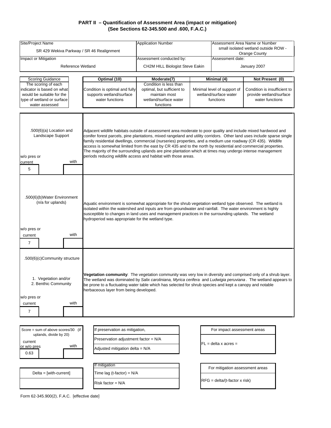| Site/Project Name                                                                                                                                                                                                                                                                                                                                                                                                            |                          | <b>Application Number</b>                         |                                                                                                                                                                                                                                                                                                                                                                                                                                                                                                                                                                                                                                                         | Assessment Area Name or Number |                                                       |                                            |  |
|------------------------------------------------------------------------------------------------------------------------------------------------------------------------------------------------------------------------------------------------------------------------------------------------------------------------------------------------------------------------------------------------------------------------------|--------------------------|---------------------------------------------------|---------------------------------------------------------------------------------------------------------------------------------------------------------------------------------------------------------------------------------------------------------------------------------------------------------------------------------------------------------------------------------------------------------------------------------------------------------------------------------------------------------------------------------------------------------------------------------------------------------------------------------------------------------|--------------------------------|-------------------------------------------------------|--------------------------------------------|--|
|                                                                                                                                                                                                                                                                                                                                                                                                                              |                          | SR 429 Wekiva Parkway / SR 46 Realignment         |                                                                                                                                                                                                                                                                                                                                                                                                                                                                                                                                                                                                                                                         |                                | small isolated wetland outside ROW -<br>Orange County |                                            |  |
| Impact or Mitigation                                                                                                                                                                                                                                                                                                                                                                                                         |                          |                                                   | Assessment conducted by:                                                                                                                                                                                                                                                                                                                                                                                                                                                                                                                                                                                                                                |                                | Assessment date:                                      |                                            |  |
|                                                                                                                                                                                                                                                                                                                                                                                                                              | <b>Reference Wetland</b> |                                                   | CH2M HILL Biologist Steve Eakin                                                                                                                                                                                                                                                                                                                                                                                                                                                                                                                                                                                                                         |                                |                                                       | January 2007                               |  |
|                                                                                                                                                                                                                                                                                                                                                                                                                              |                          |                                                   |                                                                                                                                                                                                                                                                                                                                                                                                                                                                                                                                                                                                                                                         |                                |                                                       |                                            |  |
| <b>Scoring Guidance</b><br>The scoring of each                                                                                                                                                                                                                                                                                                                                                                               |                          | Optimal (10)                                      | Moderate(7)<br>Condition is less than                                                                                                                                                                                                                                                                                                                                                                                                                                                                                                                                                                                                                   |                                | Minimal (4)                                           | Not Present (0)                            |  |
| indicator is based on what                                                                                                                                                                                                                                                                                                                                                                                                   |                          | Condition is optimal and fully                    | optimal, but sufficient to                                                                                                                                                                                                                                                                                                                                                                                                                                                                                                                                                                                                                              |                                | Minimal level of support of                           | Condition is insufficient to               |  |
| would be suitable for the<br>type of wetland or surface                                                                                                                                                                                                                                                                                                                                                                      |                          | supports wetland/surface<br>water functions       | maintain most<br>wetland/surface water                                                                                                                                                                                                                                                                                                                                                                                                                                                                                                                                                                                                                  |                                | wetland/surface water<br>functions                    | provide wetland/surface<br>water functions |  |
| water assessed                                                                                                                                                                                                                                                                                                                                                                                                               |                          |                                                   | functions                                                                                                                                                                                                                                                                                                                                                                                                                                                                                                                                                                                                                                               |                                |                                                       |                                            |  |
|                                                                                                                                                                                                                                                                                                                                                                                                                              |                          |                                                   |                                                                                                                                                                                                                                                                                                                                                                                                                                                                                                                                                                                                                                                         |                                |                                                       |                                            |  |
| $.500(6)(a)$ Location and<br>Landscape Support<br>w/o pres or<br>current<br>5                                                                                                                                                                                                                                                                                                                                                | with                     |                                                   | Adjacent wildlife habitats outside of assessment area moderate to poor quality and include mixed hardwood and<br>conifer forest parcels, pine plantations, mixed rangeland and utility corridors. Other land uses include sparse single<br>family residential dwellings, commercial (nurseries) properties, and a medium use roadway (CR 435). Wildlife<br>access is somewhat limited from the east by CR 435 and to the north by residential and commercial properties.<br>The majority of the surrounding uplands are pine plantation which at times may undergo intense management<br>periods reducing wildlife access and habitat with those areas. |                                |                                                       |                                            |  |
|                                                                                                                                                                                                                                                                                                                                                                                                                              |                          |                                                   |                                                                                                                                                                                                                                                                                                                                                                                                                                                                                                                                                                                                                                                         |                                |                                                       |                                            |  |
| .500(6)(b)Water Environment<br>(n/a for uplands)<br>w/o pres or<br>current<br>$\overline{7}$                                                                                                                                                                                                                                                                                                                                 | with                     | hydroperiod was appropriate for the wetland type. | Aquatic environment is somewhat appropriate for the shrub vegetation wetland type observed. The wetland is<br>isolated within the watershed and inputs are from groundwater and rainfall. The water environment is highly<br>susceptible to changes in land uses and management practices in the surrounding uplands. The wetland                                                                                                                                                                                                                                                                                                                       |                                |                                                       |                                            |  |
|                                                                                                                                                                                                                                                                                                                                                                                                                              |                          |                                                   |                                                                                                                                                                                                                                                                                                                                                                                                                                                                                                                                                                                                                                                         |                                |                                                       |                                            |  |
| .500(6)(c)Community structure<br>Vegetation community: The vegetation community was very low in diversity and comprised only of a shrub layer.<br>1. Vegetation and/or<br>The wetland was dominated by Salix caroliniana, Myrica cerifera and Ludwigia peruviana. The wetland appears to<br>2. Benthic Community<br>be prone to a fluctuating water table which has selected for shrub species and kept a canopy and notable |                          |                                                   |                                                                                                                                                                                                                                                                                                                                                                                                                                                                                                                                                                                                                                                         |                                |                                                       |                                            |  |
|                                                                                                                                                                                                                                                                                                                                                                                                                              |                          | herbaceous layer from being developed.            |                                                                                                                                                                                                                                                                                                                                                                                                                                                                                                                                                                                                                                                         |                                |                                                       |                                            |  |
| w/o pres or<br>current                                                                                                                                                                                                                                                                                                                                                                                                       | with                     |                                                   |                                                                                                                                                                                                                                                                                                                                                                                                                                                                                                                                                                                                                                                         |                                |                                                       |                                            |  |
| 7                                                                                                                                                                                                                                                                                                                                                                                                                            |                          |                                                   |                                                                                                                                                                                                                                                                                                                                                                                                                                                                                                                                                                                                                                                         |                                |                                                       |                                            |  |
|                                                                                                                                                                                                                                                                                                                                                                                                                              |                          |                                                   |                                                                                                                                                                                                                                                                                                                                                                                                                                                                                                                                                                                                                                                         |                                |                                                       |                                            |  |
|                                                                                                                                                                                                                                                                                                                                                                                                                              |                          |                                                   |                                                                                                                                                                                                                                                                                                                                                                                                                                                                                                                                                                                                                                                         |                                |                                                       |                                            |  |
| Score = sum of above scores/30 (if<br>uplands, divide by 20)                                                                                                                                                                                                                                                                                                                                                                 |                          | If preservation as mitigation,                    |                                                                                                                                                                                                                                                                                                                                                                                                                                                                                                                                                                                                                                                         |                                | For impact assessment areas                           |                                            |  |
| current                                                                                                                                                                                                                                                                                                                                                                                                                      |                          | Preservation adjustment factor = N/A              |                                                                                                                                                                                                                                                                                                                                                                                                                                                                                                                                                                                                                                                         |                                |                                                       |                                            |  |
| or w/o pres                                                                                                                                                                                                                                                                                                                                                                                                                  | with                     | Adjusted mitigation delta = N/A                   |                                                                                                                                                                                                                                                                                                                                                                                                                                                                                                                                                                                                                                                         |                                | $FL = delta \times acres =$                           |                                            |  |
| 0.63                                                                                                                                                                                                                                                                                                                                                                                                                         |                          |                                                   |                                                                                                                                                                                                                                                                                                                                                                                                                                                                                                                                                                                                                                                         |                                |                                                       |                                            |  |
|                                                                                                                                                                                                                                                                                                                                                                                                                              |                          | If mitigation                                     |                                                                                                                                                                                                                                                                                                                                                                                                                                                                                                                                                                                                                                                         |                                |                                                       |                                            |  |
| $Delta = [with-current]$                                                                                                                                                                                                                                                                                                                                                                                                     |                          | Time lag (t-factor) = N/A                         |                                                                                                                                                                                                                                                                                                                                                                                                                                                                                                                                                                                                                                                         |                                | For mitigation assessment areas                       |                                            |  |
|                                                                                                                                                                                                                                                                                                                                                                                                                              |                          | Risk factor = N/A                                 |                                                                                                                                                                                                                                                                                                                                                                                                                                                                                                                                                                                                                                                         |                                | $RFG = delta/(t-factor x risk)$                       |                                            |  |
|                                                                                                                                                                                                                                                                                                                                                                                                                              |                          |                                                   |                                                                                                                                                                                                                                                                                                                                                                                                                                                                                                                                                                                                                                                         |                                |                                                       |                                            |  |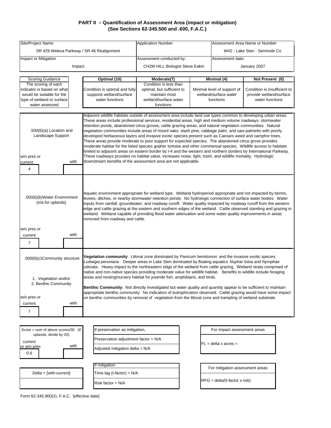| Site/Project Name                                                                          |        | <b>Application Number</b>                 |                                                                                                                                                                                                                                                                                                                                                                                                                                                                                                                                                                                                                                                                                                                                                                                                                                                                                                                                                                                                                                                                                                         | Assessment Area Name or Number |                                 |                              |  |
|--------------------------------------------------------------------------------------------|--------|-------------------------------------------|---------------------------------------------------------------------------------------------------------------------------------------------------------------------------------------------------------------------------------------------------------------------------------------------------------------------------------------------------------------------------------------------------------------------------------------------------------------------------------------------------------------------------------------------------------------------------------------------------------------------------------------------------------------------------------------------------------------------------------------------------------------------------------------------------------------------------------------------------------------------------------------------------------------------------------------------------------------------------------------------------------------------------------------------------------------------------------------------------------|--------------------------------|---------------------------------|------------------------------|--|
|                                                                                            |        | SR 429 Wekiva Parkway / SR 46 Realignment |                                                                                                                                                                                                                                                                                                                                                                                                                                                                                                                                                                                                                                                                                                                                                                                                                                                                                                                                                                                                                                                                                                         |                                | W42 - Lake Sten - Seminole Co   |                              |  |
| Impact or Mitigation                                                                       |        |                                           | Assessment conducted by:                                                                                                                                                                                                                                                                                                                                                                                                                                                                                                                                                                                                                                                                                                                                                                                                                                                                                                                                                                                                                                                                                |                                | Assessment date:                |                              |  |
|                                                                                            | Impact |                                           | CH2M HILL Biologist Steve Eakin                                                                                                                                                                                                                                                                                                                                                                                                                                                                                                                                                                                                                                                                                                                                                                                                                                                                                                                                                                                                                                                                         |                                |                                 | January 2007                 |  |
|                                                                                            |        |                                           |                                                                                                                                                                                                                                                                                                                                                                                                                                                                                                                                                                                                                                                                                                                                                                                                                                                                                                                                                                                                                                                                                                         |                                |                                 |                              |  |
| Scoring Guidance<br>The scoring of each                                                    |        | Optimal (10)                              | Moderate(7)<br>Condition is less than                                                                                                                                                                                                                                                                                                                                                                                                                                                                                                                                                                                                                                                                                                                                                                                                                                                                                                                                                                                                                                                                   |                                | Minimal (4)                     | Not Present (0)              |  |
| indicator is based on what                                                                 |        | Condition is optimal and fully            | optimal, but sufficient to                                                                                                                                                                                                                                                                                                                                                                                                                                                                                                                                                                                                                                                                                                                                                                                                                                                                                                                                                                                                                                                                              |                                | Minimal level of support of     | Condition is insufficient to |  |
| would be suitable for the                                                                  |        | supports wetland/surface                  | maintain most                                                                                                                                                                                                                                                                                                                                                                                                                                                                                                                                                                                                                                                                                                                                                                                                                                                                                                                                                                                                                                                                                           |                                | wetland/surface water           | provide wetland/surface      |  |
| type of wetland or surface                                                                 |        | water functions                           | wetland/surface water                                                                                                                                                                                                                                                                                                                                                                                                                                                                                                                                                                                                                                                                                                                                                                                                                                                                                                                                                                                                                                                                                   |                                | functions                       | water functions              |  |
| water assessed                                                                             |        |                                           | functions                                                                                                                                                                                                                                                                                                                                                                                                                                                                                                                                                                                                                                                                                                                                                                                                                                                                                                                                                                                                                                                                                               |                                |                                 |                              |  |
|                                                                                            |        |                                           |                                                                                                                                                                                                                                                                                                                                                                                                                                                                                                                                                                                                                                                                                                                                                                                                                                                                                                                                                                                                                                                                                                         |                                |                                 |                              |  |
| $.500(6)(a)$ Location and<br>Landscape Support<br>w/o pres or<br>current<br>$\overline{4}$ | with   |                                           | Adjacent wildlife habitats outside of assessment area include land use types common to developing urban areas.<br>These areas include professional services, residential areas, high and medium volume roadways, stormwater<br>retention ponds, abandoned citrus groves, cattle grazing areas, and natural vegetation communities. Natural<br>vegetation communities include areas of mixed oaks, slash pine, cabbage palm, and saw palmetto with poorly<br>developed herbaceous layers and invasive exotic species present such as Caesars weed and camphor trees.<br>These areas provide moderate to poor support for expected species. The abandoned citrus grove provides<br>moderate habitat for the listed species gopher tortoise and other commensal species. Wildlife access to habitats<br>limited to adjacent areas on eastern border by I-4 and the western and northern borders by International Parkway.<br>These roadways provides no habitat value, increases noise, light, trash, and wildlife mortality. Hydrologic<br>downstream benefits of the assessment area are not applicable. |                                |                                 |                              |  |
| .500(6)(b)Water Environment<br>(n/a for uplands)                                           |        | removed from roadway and cattle.          | Aquatic environment appropriate for wetland type. Wetland hydroperiod appropriate and not impacted by berms,<br>levees, ditches, or nearby stormwater retention ponds. No hydrologic connection of surface water bodies. Water<br>inputs from rainfall, groundwater, and roadway runoff. Water quality impacted by roadway runoff from the western<br>edge and cattle grazing at the eastern and southern edges of the wetland. Cattle observed standing and grazing in<br>wetland. Wetland capable of providing flood water attenuation and some water quality improvements in areas                                                                                                                                                                                                                                                                                                                                                                                                                                                                                                                   |                                |                                 |                              |  |
| w/o pres or                                                                                |        |                                           |                                                                                                                                                                                                                                                                                                                                                                                                                                                                                                                                                                                                                                                                                                                                                                                                                                                                                                                                                                                                                                                                                                         |                                |                                 |                              |  |
| current                                                                                    | with   |                                           |                                                                                                                                                                                                                                                                                                                                                                                                                                                                                                                                                                                                                                                                                                                                                                                                                                                                                                                                                                                                                                                                                                         |                                |                                 |                              |  |
| $\overline{7}$                                                                             |        |                                           |                                                                                                                                                                                                                                                                                                                                                                                                                                                                                                                                                                                                                                                                                                                                                                                                                                                                                                                                                                                                                                                                                                         |                                |                                 |                              |  |
|                                                                                            |        |                                           |                                                                                                                                                                                                                                                                                                                                                                                                                                                                                                                                                                                                                                                                                                                                                                                                                                                                                                                                                                                                                                                                                                         |                                |                                 |                              |  |
| .500(6)(c)Community structure<br>1. Vegetation and/or<br>2. Benthic Community              |        |                                           | Vegetation community: Littoral zone dominated by Panicum hemitomon and the invasive exotic species<br>Ludwigia peruviana. Deeper areas in Lake Sten dominated by floating aquatics Nuphar lutea and Nymphae<br>odorata. Heavy impact to the northeastern edge of the wetland from cattle grazing. Wetland strata comprised of<br>native and non-native species providing moderate value for wildlife habitat. Benefits to wildlife include foraging<br>areas and nesting/nursery habitat for juvenile fish, amphibians, and birds.<br>Benthic Community: Not directly investigated but water quality and quantity appear to be sufficient to maintain<br>appropriate benthic community. No indicators of eutrophication observed. Cattle grazing would have some impact                                                                                                                                                                                                                                                                                                                                 |                                |                                 |                              |  |
| w/o pres or                                                                                |        |                                           | on benthic communities by removal of vegetation from the littoral zone and trampling of wetland substrate.                                                                                                                                                                                                                                                                                                                                                                                                                                                                                                                                                                                                                                                                                                                                                                                                                                                                                                                                                                                              |                                |                                 |                              |  |
| current                                                                                    | with   |                                           |                                                                                                                                                                                                                                                                                                                                                                                                                                                                                                                                                                                                                                                                                                                                                                                                                                                                                                                                                                                                                                                                                                         |                                |                                 |                              |  |
| 7                                                                                          |        |                                           |                                                                                                                                                                                                                                                                                                                                                                                                                                                                                                                                                                                                                                                                                                                                                                                                                                                                                                                                                                                                                                                                                                         |                                |                                 |                              |  |
|                                                                                            |        |                                           |                                                                                                                                                                                                                                                                                                                                                                                                                                                                                                                                                                                                                                                                                                                                                                                                                                                                                                                                                                                                                                                                                                         |                                |                                 |                              |  |
|                                                                                            |        |                                           |                                                                                                                                                                                                                                                                                                                                                                                                                                                                                                                                                                                                                                                                                                                                                                                                                                                                                                                                                                                                                                                                                                         |                                |                                 |                              |  |
| Score = sum of above scores/30 (if<br>uplands, divide by 20)                               |        | If preservation as mitigation,            |                                                                                                                                                                                                                                                                                                                                                                                                                                                                                                                                                                                                                                                                                                                                                                                                                                                                                                                                                                                                                                                                                                         |                                | For impact assessment areas     |                              |  |
| current                                                                                    |        | Preservation adjustment factor = N/A      |                                                                                                                                                                                                                                                                                                                                                                                                                                                                                                                                                                                                                                                                                                                                                                                                                                                                                                                                                                                                                                                                                                         |                                |                                 |                              |  |
| or w/o pres                                                                                | with   |                                           |                                                                                                                                                                                                                                                                                                                                                                                                                                                                                                                                                                                                                                                                                                                                                                                                                                                                                                                                                                                                                                                                                                         |                                | $FL = delta \times acres =$     |                              |  |
| 0.6                                                                                        |        | Adjusted mitigation delta = N/A           |                                                                                                                                                                                                                                                                                                                                                                                                                                                                                                                                                                                                                                                                                                                                                                                                                                                                                                                                                                                                                                                                                                         |                                |                                 |                              |  |
|                                                                                            |        |                                           |                                                                                                                                                                                                                                                                                                                                                                                                                                                                                                                                                                                                                                                                                                                                                                                                                                                                                                                                                                                                                                                                                                         |                                |                                 |                              |  |
|                                                                                            |        | f mitigation                              |                                                                                                                                                                                                                                                                                                                                                                                                                                                                                                                                                                                                                                                                                                                                                                                                                                                                                                                                                                                                                                                                                                         |                                |                                 |                              |  |
| $Delta = [with-current]$                                                                   |        | Time lag (t-factor) = N/A                 |                                                                                                                                                                                                                                                                                                                                                                                                                                                                                                                                                                                                                                                                                                                                                                                                                                                                                                                                                                                                                                                                                                         |                                | For mitigation assessment areas |                              |  |
|                                                                                            |        | Risk factor = N/A                         |                                                                                                                                                                                                                                                                                                                                                                                                                                                                                                                                                                                                                                                                                                                                                                                                                                                                                                                                                                                                                                                                                                         |                                | $RFG = delta/(t-factor x risk)$ |                              |  |
|                                                                                            |        |                                           |                                                                                                                                                                                                                                                                                                                                                                                                                                                                                                                                                                                                                                                                                                                                                                                                                                                                                                                                                                                                                                                                                                         |                                |                                 |                              |  |